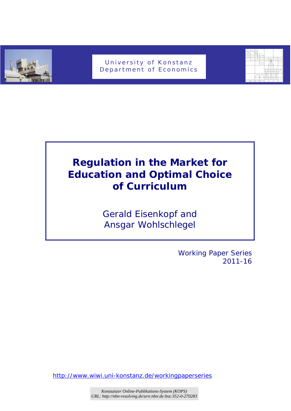

## University of Konstanz Department of Economics



# **Regulation in the Market for Education and Optimal Choice of Curriculum**

*Gerald Eisenkopf and Ansgar Wohlschlegel* 

> Working Paper Series 2011-16

http://www.wiwi.uni-konstanz.de/workingpaperseries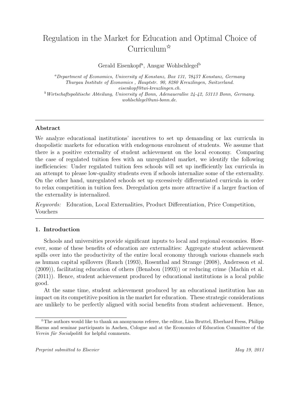## Regulation in the Market for Education and Optimal Choice of Curriculum✩

Gerald Eisenkopf<sup>a</sup>, Ansgar Wohlschlegel<sup>b</sup>

*<sup>a</sup>Department of Economics, University of Konstanz, Box 131, 78457 Konstanz, Germany Thurgau Institute of Economics , Hauptstr. 90, 8280 Kreuzlingen, Switzerland. eisenkopf@twi-kreuzlingen.ch. <sup>b</sup>Wirtschaftspolitische Abteilung, University of Bonn, Adenauerallee 24-42, 53113 Bonn, Germany.*

*wohlschlegel@uni-bonn.de.*

## **Abstract**

We analyze educational institutions' incentives to set up demanding or lax curricula in duopolistic markets for education with endogenous enrolment of students. We assume that there is a positive externality of student achievement on the local economy. Comparing the case of regulated tuition fees with an unregulated market, we identify the following inefficiencies: Under regulated tuition fees schools will set up inefficiently lax curricula in an attempt to please low-quality students even if schools internalize some of the externality. On the other hand, unregulated schools set up excessively differentiated curricula in order to relax competition in tuition fees. Deregulation gets more attractive if a larger fraction of the externality is internalized.

*Keywords:* Education, Local Externalities, Product Differentiation, Price Competition, Vouchers

## **1. Introduction**

Schools and universities provide significant inputs to local and regional economies. However, some of these benefits of education are externalities: Aggregate student achievement spills over into the productivity of the entire local economy through various channels such as human capital spillovers (Rauch (1993), Rosenthal and Strange (2008), Andersson et al. (2009)), facilitating education of others (Benabou (1993)) or reducing crime (Machin et al. (2011)). Hence, student achievement produced by educational institutions is a local public good.

At the same time, student achievement produced by an educational institution has an impact on its competitive position in the market for education. These strategic considerations are unlikely to be perfectly aligned with social benefits from student achievement. Hence,

 $\hat{X}$ The authors would like to thank an anonymous referee, the editor, Lisa Bruttel, Eberhard Feess, Philipp Harms and seminar participants in Aachen, Cologne and at the Economics of Education Committee of the *Verein für Socialpolitk* for helpful comments.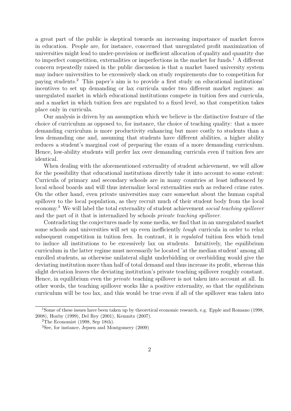a great part of the public is skeptical towards an increasing importance of market forces in education. People are, for instance, concerned that unregulated profit maximization of universities might lead to under-provision or inefficient allocation of quality and quantity due to imperfect competition, externalities or imperfections in the market for funds.<sup>1</sup> A different concern repeatedly raised in the public discussion is that a market based university system may induce universities to be excessively slack on study requirements due to competition for paying students.<sup>2</sup> This paper's aim is to provide a first study on educational institutions' incentives to set up demanding or lax curricula under two different market regimes: an unregulated market in which educational institutions compete in tuition fees and curricula, and a market in which tuition fees are regulated to a fixed level, so that competition takes place only in curricula.

Our analysis is driven by an assumption which we believe is the distinctive feature of the choice of curriculum as opposed to, for instance, the choice of teaching quality: that a more demanding curriculum is more productivity enhancing but more costly to students than a less demanding one and, assuming that students have different abilities, a higher ability reduces a student's marginal cost of preparing the exam of a more demanding curriculum. Hence, low-ability students will prefer lax over demanding curricula even if tuition fees are identical.

When dealing with the aforementioned externality of student achievement, we will allow for the possibility that educational institutions directly take it into account to some extent: Curricula of primary and secondary schools are in many countries at least influenced by local school boards and will thus internalize local externalities such as reduced crime rates. On the other hand, even private universities may care somewhat about the human capital spillover to the local population, as they recruit much of their student body from the local economy.<sup>3</sup> We will label the total externality of student achievement *social teaching spillover* and the part of it that is internalized by schools *private teaching spillover*.

Contradicting the conjectures made by some media, we find that in an unregulated market some schools and universities will set up even inefficiently *tough* curricula in order to relax subsequent competition in tuition fees. In contrast, it is *regulated* tuition fees which tend to induce all institutions to be excessively lax on students. Intuitively, the equilibrium curriculum in the latter regime must necessarily be located 'at the median student' among all enrolled students, as otherwise unilateral slight underbidding or overbidding would give the deviating institution more than half of total demand and thus increase its profit, whereas this slight deviation leaves the deviating institution's private teaching spillover roughly constant. Hence, in equilibrium even the *private* teaching spillover is not taken into account at all. In other words, the teaching spillover works like a positive externality, so that the equilibrium curriculum will be too lax, and this would be true even if all of the spillover was taken into

<sup>1</sup>Some of these issues have been taken up by theoretical economic research, e.g. Epple and Romano (1998, 2008), Hoxby (1999), Del Rey (2001), Kemnitz (2007).

<sup>&</sup>lt;sup>2</sup>The Economist (1998, Sep 18th).

<sup>3</sup>See, for instance, Jepsen and Montgomery (2009)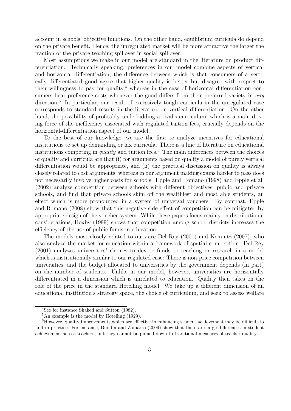account in schools' objective functions. On the other hand, equilibrium curricula do depend on the private benefit. Hence, the unregulated market will be more attractive the larger the fraction of the private teaching spillover in social spillover.

Most assumptions we make in our model are standard in the literature on product differentiation. Technically speaking, preferences in our model combine aspects of vertical and horizontal differentiation, the difference between which is that consumers of a vertically differentiated good agree that higher quality is better but disagree with respect to their willingness to pay for quality,<sup>4</sup> whereas in the case of horizontal differentiation consumers bear preference costs whenever the good differs from their preferred variety in *any* direction.<sup>5</sup> In particular, our result of excessively tough curricula in the unregulated case corresponds to standard results in the literature on vertical differentiation. On the other hand, the possibility of profitably underbidding a rival's curriculum, which is a main driving force of the inefficiency associated with regulated tuition fees, crucially depends on the horizontal-differentiation aspect of our model.

To the best of our knowledge, we are the first to analyze incentives for educational institutions to set up demanding or lax curricula. There is a line of literature on educational institutions competing in *quality* and tuition fees.<sup>6</sup> The main differences between the choices of quality and curricula are that (i) for arguments based on quality a model of purely vertical differentiation would be appropriate, and (ii) the practical discussion on quality is always closely related to cost arguments, whereas in our argument making exams harder to pass does not necessarily involve higher costs for schools. Epple and Romano (1998) and Epple et al. (2002) analyze competition between schools with different objectives, public and private schools, and find that private schools skim off the wealthiest and most able students, an effect which is more pronounced in a system of universal vouchers. By contrast, Epple and Romano (2008) show that this negative side effect of competition can be mitigated by appropriate design of the voucher system. While these papers focus mainly on distributional considerations, Hoxby (1999) shows that competition among school districts increases the efficiency of the use of public funds in education.

The models most closely related to ours are Del Rey (2001) and Kemnitz (2007), who also analyze the market for education within a framework of spatial competition. Del Rey (2001) analyzes universities' choices to devote funds to teaching or research in a model which is institutionally similar to our regulated case: There is non-price competition between universities, and the budget allocated to universities by the government depends (in part) on the number of students. Unlike in our model, however, universities are horizontally differentiated in a dimension which is unrelated to education. Quality then takes on the role of the price in the standard Hotelling model. We take up a different dimension of an educational institution's strategy space, the choice of curriculum, and seek to assess welfare

<sup>4</sup>See for instance Shaked and Sutton (1982).

<sup>5</sup>An example is the model by Hotelling (1929).

<sup>6</sup>However, quality improvements which are effective in enhancing student achievement may be difficult to find in practice. For instance, Buddin and Zamarro (2009) show that there are large differences in student achievement across teachers, but they cannot be pinned down to traditional measures of teacher quality.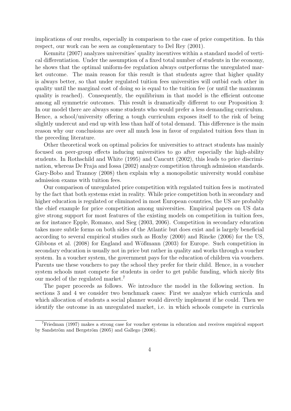implications of our results, especially in comparison to the case of price competition. In this respect, our work can be seen as complementary to Del Rey (2001).

Kemnitz (2007) analyzes universities' quality incentives within a standard model of vertical differentiation. Under the assumption of a fixed total number of students in the economy, he shows that the optimal uniform-fee regulation always outperforms the unregulated market outcome. The main reason for this result is that students agree that higher quality is always better, so that under regulated tuition fees universities will outbid each other in quality until the marginal cost of doing so is equal to the tuition fee (or until the maximum quality is reached). Consequently, the equilibrium in that model is the efficient outcome among all symmetric outcomes. This result is dramatically different to our Proposition 3: In our model there are always some students who would prefer a less demanding curriculum. Hence, a school/university offering a tough curriculum exposes itself to the risk of being slightly undercut and end up with less than half of total demand. This difference is the main reason why our conclusions are over all much less in favor of regulated tuition fees than in the preceding literature.

Other theoretical work on optimal policies for universities to attract students has mainly focused on peer-group effects inducing universities to go after especially the high-ability students. In Rothschild and White (1995) and Caucutt (2002), this leads to price discrimination, whereas De Fraja and Iossa (2002) analyze competition through admission standards. Gary-Bobo and Trannoy (2008) then explain why a monopolistic university would combine admission exams with tuition fees.

Our comparison of unregulated price competition with regulated tuition fees is motivated by the fact that both systems exist in reality. While price competition both in secondary and higher education is regulated or eliminated in most European countries, the US are probably the chief example for price competition among universities. Empirical papers on US data give strong support for most features of the existing models on competition in tuition fees, as for instance Epple, Romano, and Sieg (2003, 2006). Competition in secondary education takes more subtle forms on both sides of the Atlantic but does exist and is largely beneficial according to several empirical studies such as Hoxby (2000) and Rincke (2006) for the US, Gibbons et al. (2008) for England and Wößmann (2003) for Europe. Such competition in secondary education is usually not in price but rather in quality and works through a voucher system. In a voucher system, the government pays for the education of children via vouchers. Parents use these vouchers to pay the school they prefer for their child. Hence, in a voucher system schools must compete for students in order to get public funding, which nicely fits our model of the regulated market.<sup>7</sup>

The paper proceeds as follows. We introduce the model in the following section. In sections 3 and 4 we consider two benchmark cases: First we analyze which curricula and which allocation of students a social planner would directly implement if he could. Then we identify the outcome in an unregulated market, i.e. in which schools compete in curricula

<sup>7</sup>Friedman (1997) makes a strong case for voucher systems in education and receives empirical support by Sandström and Bergström  $(2005)$  and Gallego  $(2006)$ .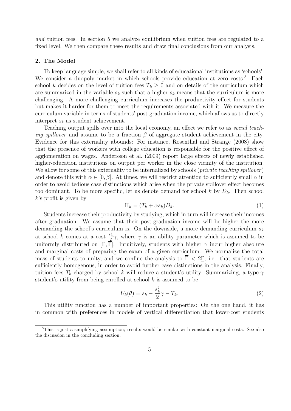*and* tuition fees. In section 5 we analyze equilibrium when tuition fees are regulated to a fixed level. We then compare these results and draw final conclusions from our analysis.

## **2. The Model**

To keep language simple, we shall refer to all kinds of educational institutions as 'schools'. We consider a duopoly market in which schools provide education at zero costs.<sup>8</sup> Each school *k* decides on the level of tuition fees  $T_k \geq 0$  and on details of the curriculum which are summarized in the variable  $s_k$  such that a higher  $s_k$  means that the curriculum is more challenging. A more challenging curriculum increases the productivity effect for students but makes it harder for them to meet the requirements associated with it. We measure the curriculum variable in terms of students' post-graduation income, which allows us to directly interpret *s<sup>k</sup>* as student achievement.

Teaching output spills over into the local economy, an effect we refer to as *social teaching spillover* and assume to be a fraction  $\beta$  of aggregate student achievement in the city. Evidence for this externality abounds: For instance, Rosenthal and Strange (2008) show that the presence of workers with college education is responsible for the positive effect of agglomeration on wages. Andersson et al. (2009) report large effects of newly established higher-education institutions on output per worker in the close vicinity of the institution. We allow for some of this externality to be internalized by schools (*private teaching spillover*) and denote this with  $\alpha \in [0, \beta]$ . At times, we will restrict attention to sufficiently small  $\alpha$  in order to avoid tedious case distinctions which arise when the private spillover effect becomes too dominant. To be more specific, let us denote demand for school  $k$  by  $D_k$ . Then school *k*'s profit is given by

$$
\Pi_k = (T_k + \alpha s_k) D_k. \tag{1}
$$

Students increase their productivity by studying, which in turn will increase their incomes after graduation. We assume that their post-graduation income will be higher the more demanding the school's curriculum is. On the downside, a more demanding curriculum *s<sup>k</sup>* at school *k* comes at a cost  $\frac{s_k^2}{2}\gamma$ , where  $\gamma$  is an ability parameter which is assumed to be uniformly distributed on  $[\underline{\Gamma}, \underline{\tilde{\Gamma}}]$ . Intuitively, students with higher  $\gamma$  incur higher absolute and marginal costs of preparing the exam of a given curriculum. We normalize the total mass of students to unity, and we confine the analysis to  $\overline{\Gamma}$  < 2 $\Gamma$ , i.e. that students are sufficiently homogenous, in order to avoid further case distinctions in the analysis. Finally, tuition fees  $T_k$  charged by school *k* will reduce a student's utility. Summarizing, a type- $\gamma$ student's utility from being enrolled at school *k* is assumed to be

$$
U_k(\theta) = s_k - \frac{s_k^2}{2}\gamma - T_k. \tag{2}
$$

This utility function has a number of important properties: On the one hand, it has in common with preferences in models of vertical differentiation that lower-cost students

<sup>8</sup>This is just a simplifying assumption; results would be similar with constant marginal costs. See also the discussion in the concluding section.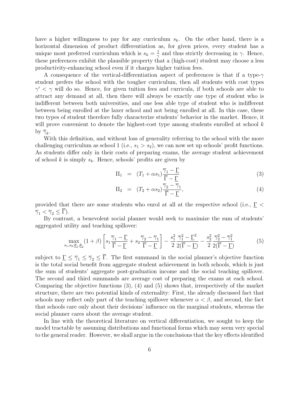have a higher willingness to pay for any curriculum *sk*. On the other hand, there is a horizontal dimension of product differentiation as, for given prices, every student has a unique most preferred curriculum which is  $s_k = \frac{1}{2}$  $\frac{1}{\gamma}$  and thus strictly decreasing in *γ*. Hence, these preferences exhibit the plausible property that a (high-cost) student may choose a less productivity-enhancing school even if it charges higher tuition fees.

A consequence of the vertical-differentiation aspect of preferences is that if a type-*γ* student prefers the school with the tougher curriculum, then all students with cost types *γ ′ < γ* will do so. Hence, for given tuition fees and curricula, if both schools are able to attract any demand at all, then there will always be exactly one type of student who is indifferent between both universities, and one less able type of student who is indifferent between being enrolled at the laxer school and not being enrolled at all. In this case, these two types of student therefore fully characterize students' behavior in the market. Hence, it will prove convenient to denote the highest-cost type among students enrolled at school *k* by  $\overline{\gamma}_k$ .

With this definition, and without loss of generality referring to the school with the more challenging curriculum as school 1 (i.e.,  $s_1 > s_2$ ), we can now set up schools' profit functions. As students differ only in their costs of preparing exams, the average student achievement of school  $k$  is simply  $s_k$ . Hence, schools' profits are given by

$$
\Pi_1 = (T_1 + \alpha s_1) \frac{\overline{\gamma}_1 - \underline{\Gamma}}{\overline{\Gamma} - \underline{\Gamma}} \tag{3}
$$

$$
\Pi_2 = (T_2 + \alpha s_2) \frac{\overline{\gamma}_2 - \overline{\gamma}_1}{\overline{\Gamma} - \underline{\Gamma}}, \tag{4}
$$

provided that there are some students who enrol at all at the respective school (i.e., Γ *<*  $\overline{\gamma}_1 < \overline{\gamma}_2 \leq \overline{\Gamma}$ ).

By contrast, a benevolent social planner would seek to maximize the sum of students' aggregated utility and teaching spillover:

$$
\max_{s_1, s_2, \underline{\theta}_1, \underline{\theta}_2} (1+\beta) \left[ s_1 \frac{\overline{\gamma}_1 - \underline{\Gamma}}{\overline{\Gamma} - \underline{\Gamma}} + s_2 \frac{\overline{\gamma}_2 - \overline{\gamma}_1}{\overline{\Gamma} - \underline{\Gamma}} \right] - \frac{s_1^2}{2} \frac{\overline{\gamma}_1^2 - \underline{\Gamma}^2}{2(\overline{\Gamma} - \underline{\Gamma})} - \frac{s_2^2}{2} \frac{\overline{\gamma}_2^2 - \overline{\gamma}_1^2}{2(\overline{\Gamma} - \underline{\Gamma})}
$$
(5)

subject to  $\underline{\Gamma} \leq \overline{\gamma}_1 \leq \overline{\gamma}_2 \leq \overline{\Gamma}$ . The first summand in the social planner's objective function is the total social benefit from aggregate student achievement in both schools, which is just the sum of students' aggregate post-graduation income and the social teaching spillover. The second and third summands are average cost of preparing the exams at each school. Comparing the objective functions (3), (4) and (5) shows that, irrespectively of the market structure, there are two potential kinds of externality: First, the already discussed fact that schools may reflect only part of the teaching spillover whenever  $\alpha < \beta$ , and second, the fact that schools care only about their decisions' influence on the marginal students, whereas the social planner cares about the average student.

In line with the theoretical literature on vertical differentiation, we sought to keep the model tractable by assuming distributions and functional forms which may seem very special to the general reader. However, we shall argue in the conclusions that the key effects identified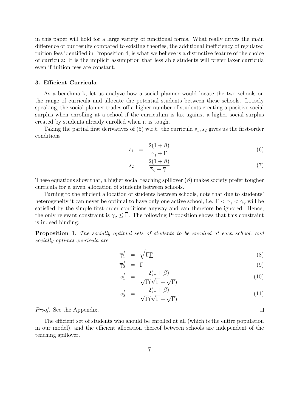in this paper will hold for a large variety of functional forms. What really drives the main difference of our results compared to existing theories, the additional inefficiency of regulated tuition fees identified in Proposition 4, is what we believe is a distinctive feature of the choice of curricula: It is the implicit assumption that less able students will prefer laxer curricula even if tuition fees are constant.

## **3. Efficient Curricula**

As a benchmark, let us analyze how a social planner would locate the two schools on the range of curricula and allocate the potential students between these schools. Loosely speaking, the social planner trades off a higher number of students creating a positive social surplus when enrolling at a school if the curriculum is lax against a higher social surplus created by students already enrolled when it is tough.

Taking the partial first derivatives of (5) w.r.t. the curricula  $s_1, s_2$  gives us the first-order conditions

$$
s_1 = \frac{2(1+\beta)}{\overline{\gamma}_1 + \underline{\Gamma}} \tag{6}
$$

$$
s_2 = \frac{2(1+\beta)}{\overline{\gamma}_2 + \overline{\gamma}_1} \tag{7}
$$

These equations show that, a higher social teaching spillover (*β*) makes society prefer tougher curricula for a given allocation of students between schools.

Turning to the efficient allocation of students between schools, note that due to students' heterogeneity it can never be optimal to have only one active school, i.e.  $\underline{\Gamma} < \overline{\gamma}_1 < \overline{\gamma}_2$  will be satisfied by the simple first-order conditions anyway and can therefore be ignored. Hence, the only relevant constraint is  $\overline{\gamma}_2 \leq \overline{\Gamma}$ . The following Proposition shows that this constraint is indeed binding:

**Proposition 1.** *The socially optimal sets of students to be enrolled at each school, and socially optimal curricula are*

$$
\overline{\gamma}_1^f = \sqrt{\overline{\Gamma}\underline{\Gamma}} \tag{8}
$$

$$
\overline{\gamma}_2^f = \overline{\Gamma} \tag{9}
$$

$$
s_1^f = \frac{2(1+\beta)}{\sqrt{\underline{\Gamma}}(\sqrt{\overline{\Gamma}} + \sqrt{\underline{\Gamma}})}
$$
(10)

$$
s_2^f = \frac{2(1+\beta)}{\sqrt{\overline{\Gamma}}(\sqrt{\overline{\Gamma}} + \sqrt{\underline{\Gamma}})}.
$$
\n(11)

*Proof.* See the Appendix.

The efficient set of students who should be enrolled at all (which is the entire population in our model), and the efficient allocation thereof between schools are independent of the teaching spillover.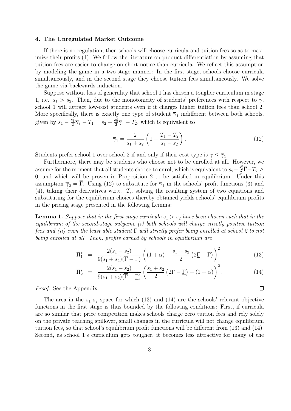#### **4. The Unregulated Market Outcome**

If there is no regulation, then schools will choose curricula and tuition fees so as to maximize their profits (1). We follow the literature on product differentiation by assuming that tuition fees are easier to change on short notice than curricula. We reflect this assumption by modeling the game in a two-stage manner: In the first stage, schools choose curricula simultaneously, and in the second stage they choose tuition fees simultaneously. We solve the game via backwards induction.

Suppose without loss of generality that school 1 has chosen a tougher curriculum in stage 1, i.e.  $s_1 > s_2$ . Then, due to the monotonicity of students' preferences with respect to  $\gamma$ , school 1 will attract low-cost students even if it charges higher tuition fees than school 2. More specifically, there is exactly one type of student  $\overline{\gamma}_1$  indifferent between both schools, given by  $s_1 - \frac{s_1^2}{2}\overline{\gamma}_1 - T_1 = s_2 - \frac{s_2^2}{2}\overline{\gamma}_1 - T_2$ , which is equivalent to

$$
\overline{\gamma}_1 = \frac{2}{s_1 + s_2} \left( 1 - \frac{T_1 - T_2}{s_1 - s_2} \right). \tag{12}
$$

Students prefer school 1 over school 2 if and only if their cost type is  $\gamma \leq \overline{\gamma}_1$ .

Furthermore, there may be students who choose not to be enrolled at all. However, we assume for the moment that all students choose to enrol, which is equivalent to  $s_2 - \frac{s_2^2}{2} \overline{\Gamma} - T_2 \geq$ 0, and which will be proven in Proposition 2 to be satisfied in equilibrium. Under this assumption  $\overline{\gamma}_2 = \Gamma$ . Using (12) to substitute for  $\overline{\gamma}_1$  in the schools' profit functions (3) and (4), taking their derivatives w.r.t.  $T_i$ , solving the resulting system of two equations and substituting for the equilibrium choices thereby obtained yields schools' equilibrium profits in the pricing stage presented in the following Lemma:

**Lemma 1.** *Suppose that in the first stage curricula*  $s_1 > s_2$  *have been chosen such that in the equilibrium of the second-stage subgame (i) both schools will charge strictly positive tuition fees and (ii) even the least able student*  $\overline{\Gamma}$  *will strictly prefer being enrolled at school 2 to not being enrolled at all. Then, profits earned by schools in equilibrium are*

$$
\Pi_1^* = \frac{2(s_1 - s_2)}{9(s_1 + s_2)(\overline{\Gamma} - \underline{\Gamma})} \left( (1 + \alpha) - \frac{s_1 + s_2}{2} (2\underline{\Gamma} - \overline{\Gamma}) \right)^2 \tag{13}
$$

$$
\Pi_2^* = \frac{2(s_1 - s_2)}{9(s_1 + s_2)(\overline{\Gamma} - \underline{\Gamma})} \left( \frac{s_1 + s_2}{2} \left( 2\overline{\Gamma} - \underline{\Gamma} \right) - (1 + \alpha) \right)^2.
$$
 (14)

*Proof.* See the Appendix.

The area in the  $s_1-s_2$  space for which (13) and (14) are the schools' relevant objective functions in the first stage is thus bounded by the following conditions: First, if curricula are so similar that price competition makes schools charge zero tuition fees and rely solely on the private teaching spillover, small changes in the curricula will not change equilibrium tuition fees, so that school's equilibrium profit functions will be different from (13) and (14). Second, as school 1's curriculum gets tougher, it becomes less attractive for many of the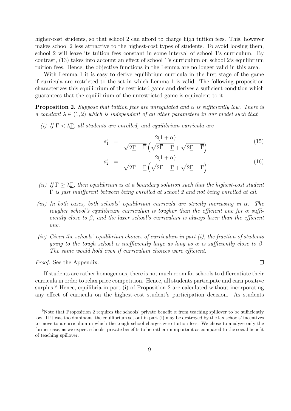higher-cost students, so that school 2 can afford to charge high tuition fees. This, however makes school 2 less attractive to the highest-cost types of students. To avoid loosing them, school 2 will leave its tuition fees constant in some interval of school 1's curriculum. By contrast, (13) takes into account an effect of school 1's curriculum on school 2's equilibrium tuition fees. Hence, the objective functions in the Lemma are no longer valid in this area.

With Lemma 1 it is easy to derive equilibrium curricula in the first stage of the game if curricula are restricted to the set in which Lemma 1 is valid. The following proposition characterizes this equilibrium of the restricted game and derives a sufficient condition which guarantees that the equilibrium of the unrestricted game is equivalent to it.

**Proposition 2.** *Suppose that tuition fees are unregulated and α is sufficiently low. There is a constant*  $\lambda \in (1,2)$  *which is independent of all other parameters in our model such that* 

*(i)* If  $\overline{\Gamma}$  <  $\lambda$  $\Gamma$ , all students are enrolled, and equilibrium curricula are

$$
s_1^e = \frac{2(1+\alpha)}{\sqrt{2\underline{\Gamma} - \overline{\Gamma}} \left(\sqrt{2\overline{\Gamma} - \underline{\Gamma}} + \sqrt{2\underline{\Gamma} - \overline{\Gamma}}\right)}
$$
(15)

$$
s_2^e = \frac{2(1+\alpha)}{\sqrt{2\overline{\Gamma} - \underline{\Gamma}} \left(\sqrt{2\overline{\Gamma} - \underline{\Gamma}} + \sqrt{2\underline{\Gamma} - \overline{\Gamma}}\right)},\tag{16}
$$

- *(ii)*  $If \overline{\Gamma} > \lambda \Gamma$ , then equilibrium is at a boundary solution such that the highest-cost student Γ *is just indifferent between being enrolled at school 2 and not being enrolled at all.*
- *(iii) In both cases, both schools' equilibrium curricula are strictly increasing in α. The tougher school's equilibrium curriculum is tougher than the efficient one for α sufficiently close to β, and the laxer school's curriculum is always laxer than the efficient one.*
- *(iv) Given the schools' equilibrium choices of curriculum in part (i), the fraction of students going to the tough school is inefficiently large as long as*  $\alpha$  *is sufficiently close to*  $\beta$ *. The same would hold even if curriculum choices were efficient.*

*Proof.* See the Appendix.

If students are rather homogenous, there is not much room for schools to differentiate their curricula in order to relax price competition. Hence, all students participate and earn positive surplus.<sup>9</sup> Hence, equilibria in part (i) of Proposition 2 are calculated without incorporating any effect of curricula on the highest-cost student's participation decision. As students

<sup>&</sup>lt;sup>9</sup>Note that Proposition 2 requires the schools' private benefit  $\alpha$  from teaching spillover to be sufficiently low. If it was too dominant, the equilibrium set out in part (i) may be destroyed by the lax schools' incentives to move to a curriculum in which the tough school charges zero tuition fees. We chose to analyze only the former case, as we expect schools' private benefits to be rather unimportant as compared to the social benefit of teaching spillover.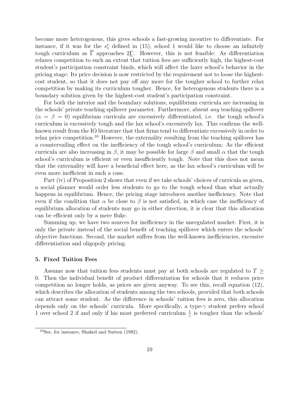become more heterogenous, this gives schools a fast-growing incentive to differentiate. For instance, if it was for the  $s_1^e$  defined in (15), school 1 would like to choose an infinitely tough curriculum as  $\overline{\Gamma}$  approaches 2<u>Γ</u>. However, this is not feasible: As differentiation relaxes competition to such an extent that tuition fees are sufficiently high, the highest-cost student's participation constraint binds, which will affect the laxer school's behavior in the pricing stage: Its price decision is now restricted by the requirement not to loose the highestcost student, so that it does not pay off any more for the tougher school to further relax competition by making its curriculum tougher. Hence, for heterogenous students there is a boundary solution given by the highest-cost student's participation constraint.

For both the interior and the boundary solutions, equilibrium curricula are increasing in the schools' private teaching spillover parameter. Furthermore, absent *any* teaching spillover  $(\alpha = \beta = 0)$  equilibrium curricula are excessively differentiated, i.e. the tough school's curriculum is excessively tough and the lax school's excessively lax. This confirms the wellknown result from the IO literature that that firms tend to differentiate excessively in order to relax price competition.<sup>10</sup> However, the externality resulting from the teaching spillover has a countervailing effect on the inefficiency of the tough school's curriculum: As the efficient curricula are also increasing in  $\beta$ , it may be possible for large  $\beta$  and small  $\alpha$  that the tough school's curriculum is efficient or even insufficiently tough. Note that this does not mean that the externality will have a beneficial effect here, as the lax school's curriculum will be even more inefficient in such a case.

Part (iv) of Proposition 2 shows that even if we take schools' choices of curricula as given, a social planner would order less students to go to the tough school than what actually happens in equilibrium. Hence, the pricing stage introduces another inefficiency. Note that even if the condition that  $\alpha$  be close to  $\beta$  is not satisfied, in which case the inefficiency of equilibrium allocation of students may go in either direction, it is clear that this allocation can be efficient only by a mere fluke.

Summing up, we have two sources for inefficiency in the unregulated market: First, it is only the private instead of the social benefit of teaching spillover which enters the schools' objective functions. Second, the market suffers from the well-known inefficiencies, excessive differentiation and oligopoly pricing.

## **5. Fixed Tuition Fees**

Assume now that tuition fees students must pay at both schools are regulated to *T ≥* 0. Then the individual benefit of product differentiation for schools that it reduces price competition no longer holds, as prices are given anyway. To see this, recall equation (12), which describes the allocation of students among the two schools, provided that both schools can attract some student. As the difference in schools' tuition fees is zero, this allocation depends only on the schools' curricula. More specifically, a type-*γ* student prefers school 1 over school 2 if and only if his most preferred curriculum  $\frac{1}{\gamma}$  is tougher than the schools'

<sup>10</sup>See, for instance, Shaked and Sutton (1982).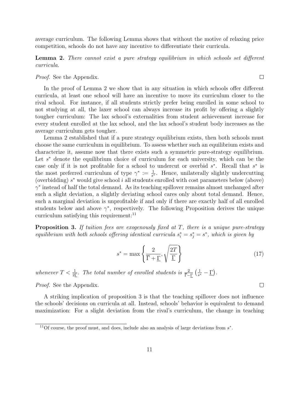average curriculum. The following Lemma shows that without the motive of relaxing price competition, schools do not have any incentive to differentiate their curricula.

**Lemma 2.** *There cannot exist a pure strategy equilibrium in which schools set different curricula.*

*Proof.* See the Appendix.

In the proof of Lemma 2 we show that in any situation in which schools offer different curricula, at least one school will have an incentive to move its curriculum closer to the rival school. For instance, if all students strictly prefer being enrolled in some school to not studying at all, the laxer school can always increase its profit by offering a slightly tougher curriculum: The lax school's externalities from student achievement increase for every student enrolled at the lax school, and the lax school's student body increases as the average curriculum gets tougher.

Lemma 2 established that if a pure strategy equilibrium exists, then both schools must choose the same curriculum in equilibrium. To assess whether such an equilibrium exists and characterize it, assume now that there exists such a symmetric pure-strategy equilibrium. Let *s <sup>∗</sup>* denote the equilibrium choice of curriculum for each university, which can be the case only if it is not profitable for a school to undercut or overbid *s ∗* . Recall that *s ∗* is the most preferred curriculum of type  $\gamma^* := \frac{1}{s^*}$ . Hence, unilaterally slightly undercutting (overbidding) *s <sup>∗</sup>* would give school *i* all students enrolled with cost parameters below (above) *γ ∗* instead of half the total demand. As its teaching spillover remains almost unchanged after such a slight deviation, a slightly deviating school cares only about total demand. Hence, such a marginal deviation is unprofitable if and only if there are exactly half of all enrolled students below and above  $\gamma^*$ , respectively. The following Proposition derives the unique curriculum satisfying this requirement:<sup>11</sup>

**Proposition 3.** *If tuition fees are exogenously fixed at T, there is a unique pure-strategy equilibrium with both schools offering identical curricula*  $s_i^* = s_j^* = s^*$ , which is given by

$$
s^* = \max\left\{\frac{2}{\overline{\Gamma} + \underline{\Gamma}}, \sqrt{\frac{2T}{\underline{\Gamma}}}\right\} \tag{17}
$$

whenever  $T < \frac{1}{2\Gamma}$ . The total number of enrolled students is  $\frac{2}{\overline{\Gamma} - \Gamma} \left( \frac{1}{s^2} \right)$  $\frac{1}{s^*} - \underline{\Gamma}$ ).

*Proof.* See the Appendix.

A striking implication of proposition 3 is that the teaching spillover does not influence the schools' decisions on curricula at all. Instead, schools' behavior is equivalent to demand maximization: For a slight deviation from the rival's curriculum, the change in teaching

 $\Box$ 

<sup>11</sup>Of course, the proof must, and does, include also an analysis of large deviations from *s ∗* .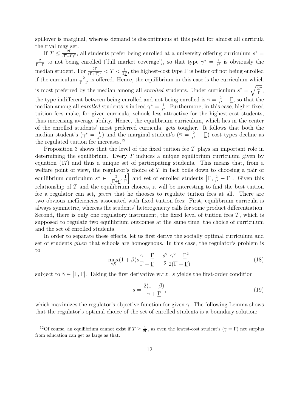spillover is marginal, whereas demand is discontinuous at this point for almost all curricula the rival may set.

If  $T \leq \frac{2\Gamma}{(\overline{\Gamma} + \overline{\Gamma})}$  $\frac{2\underline{I}}{(\overline{\Gamma}+\underline{\Gamma})^2}$ , all students prefer being enrolled at a university offering curriculum  $s^* =$  $\frac{2}{\Gamma + \Gamma}$  to not being enrolled ('full market coverage'), so that type  $\gamma^* = \frac{1}{s^*}$  $\frac{1}{s^*}$  is obviously the median student. For  $\frac{2\Gamma}{(\overline{\Gamma}+\Gamma)^2} < T < \frac{1}{2\Gamma}$ , the highest-cost type  $\overline{\Gamma}$  is better off not being enrolled if the curriculum  $\frac{2}{\overline{\Gamma}+\underline{\Gamma}}$  is offered. Hence, the equilibrium in this case is the curriculum which is most preferred by the median among all *enrolled* students. Under curriculum  $s^* = \sqrt{\frac{2T}{\Gamma}}$ , the type indifferent between being enrolled and not being enrolled is  $\overline{\gamma} = \frac{2}{s^2}$  $\frac{2}{s^*} - \underline{\Gamma}$ , so that the median among all *enrolled* students is indeed  $\gamma^* = \frac{1}{s^*}$  $\frac{1}{s^*}$ . Furthermore, in this case, higher fixed tuition fees make, for given curricula, schools less attractive for the highest-cost students, thus increasing average ability. Hence, the equilibrium curriculum, which lies in the center of the enrolled students' most preferred curricula, gets tougher. It follows that both the median student's  $(\gamma^* = \frac{1}{\gamma^*})$  $\frac{1}{s^*}$ ) and the marginal student's ( $\overline{\gamma} = \frac{2}{s^*}$  $\frac{2}{s^*} - \underline{\Gamma}$  cost types decline as the regulated tuition fee increases.<sup>12</sup>

Proposition 3 shows that the level of the fixed tuition fee *T* plays an important role in determining the equilibrium. Every *T* induces a unique equilibrium curriculum given by equation (17) and thus a unique set of participating students. This means that, from a welfare point of view, the regulator's choice of *T* in fact boils down to choosing a pair of equilibrium curriculum  $s^* \in \left[\frac{2}{\bar{\Gamma} + \underline{\Gamma}}, \frac{1}{\bar{\Gamma}}\right]$  $\left[\frac{1}{\Gamma}\right]$  and set of enrolled students  $\left[\frac{\Gamma}{s}\right]$  $\frac{2}{s^*} - \underline{\Gamma}$ . Given this relationship of *T* and the equilibrium choices, it will be interesting to find the best tuition fee a regulator can set, *given* that he chooses to regulate tuition fees at all. There are two obvious inefficiencies associated with fixed tuition fees: First, equilibrium curricula is always symmetric, whereas the students' heterogeneity calls for some product differentiation. Second, there is only one regulatory instrument, the fixed level of tuition fees *T*, which is supposed to regulate two equilibrium outcomes at the same time, the choice of curriculum and the set of enrolled students.

In order to separate these effects, let us first derive the socially optimal curriculum and set of students *given* that schools are homogenous. In this case, the regulator's problem is to

$$
\max_{s,\overline{\gamma}} (1+\beta)s \frac{\overline{\gamma}-\Gamma}{\overline{\Gamma}-\Gamma} - \frac{s^2}{2} \frac{\overline{\gamma}^2-\Gamma^2}{2(\overline{\Gamma}-\Gamma)}
$$
(18)

subject to  $\overline{\gamma} \in [\Gamma, \overline{\Gamma}]$ . Taking the first derivative w.r.t. *s* yields the first-order condition

$$
s = \frac{2(1+\beta)}{\overline{\gamma} + \underline{\Gamma}},\tag{19}
$$

which maximizes the regulator's objective function for given *γ*. The following Lemma shows that the regulator's optimal choice of the set of enrolled students is a boundary solution:

<sup>&</sup>lt;sup>12</sup>Of course, an equilibrium cannot exist if  $T \geq \frac{1}{2\Gamma}$ , as even the lowest-cost student's  $(\gamma = \Gamma)$  net surplus from education can get as large as that.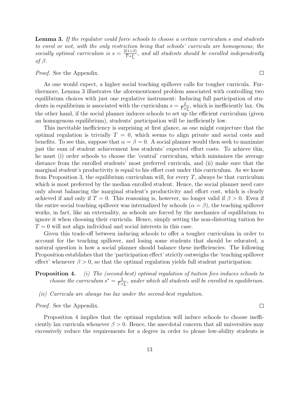**Lemma 3.** *If the regulator could force schools to choose a certain curriculum s and students to enrol or not, with the only restriction being that schools' curricula are homogenous, the socially optimal curriculum is*  $s = \frac{2(1+\beta)}{\bar{\Gamma}+\Gamma}$ , and all students should be enrolled independently *of β.*

*Proof.* See the Appendix.

As one would expect, a higher social teaching spillover calls for tougher curricula. Furthermore, Lemma 3 illustrates the aforementioned problem associated with controlling two equilibrium choices with just one regulative instrument: Inducing full participation of students in equilibrium is associated with the curriculum  $s = \frac{2}{\bar{\Gamma} + \Gamma}$ , which is inefficiently lax. On the other hand, if the social planner induces schools to set up the efficient curriculum (given an homogenous equilibrium), students' participation will be inefficiently low.

This inevitable inefficiency is surprising at first glance, as one might conjecture that the optimal regulation is trivially  $T = 0$ , which seems to align private and social costs and benefits. To see this, suppose that  $\alpha = \beta = 0$ . A social planner would then seek to maximize just the sum of student achievement less students' expected effort costs. To achieve this, he must (i) order schools to choose the 'central' curriculum, which minimizes the average distance from the enrolled students' most preferred curricula, and (ii) make sure that the marginal student's productivity is equal to his effort cost under this curriculum. As we know from Proposition 3, the equilibrium curriculum will, for every *T*, always be that curriculum which is most preferred by the median enrolled student. Hence, the social planner need care only about balancing the marginal student's productivity and effort cost, which is clearly achieved if and only if  $T = 0$ . This reasoning is, however, no longer valid if  $\beta > 0$ . Even if the entire social teaching spillover was internalized by schools  $(\alpha = \beta)$ , the teaching spillover works, in fact, like an externality, as schools are forced by the mechanics of equilibrium to ignore it when choosing their curricula. Hence, simply setting the non-distorting tuition fee  $T = 0$  will not align individual and social interests in this case.

Given this trade-off between inducing schools to offer a tougher curriculum in order to account for the teaching spillover, and losing some students that should be educated, a natural question is how a social planner should balance these inefficiencies. The following Proposition establishes that the 'participation effect' strictly outweighs the 'teaching spillover effect' whenever  $\beta > 0$ , so that the optimal regulation yields full student participation:

**Proposition 4.** *(i) The (second-best) optimal regulation of tuition fees induces schools to choose the curriculum*  $s^* = \frac{2}{\overline{\Gamma} + \Gamma}$ , under which all students will be enrolled in equilibrium.

*(ii) Curricula are always too lax under the second-best regulation.*

*Proof.* See the Appendix.

Proposition 4 implies that the optimal regulation will induce schools to choose inefficiently lax curricula whenever  $\beta > 0$ . Hence, the anecdotal concern that all universities may excessively reduce the requirements for a degree in order to please low-ability students is

 $\overline{\phantom{a}}$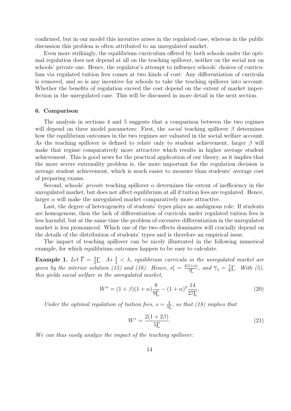confirmed, but in our model this incentive arises in the regulated case, whereas in the public discussion this problem is often attributed to an unregulated market.

Even more strikingly, the equilibrium curriculum offered by both schools under the optimal regulation does not depend at all on the teaching spillover, neither on the social nor on schools' private one. Hence, the regulator's attempt to influence schools' choices of curriculum via regulated tuition fees comes at two kinds of cost: Any differentiation of curricula is removed, and so is any incentive for schools to take the teaching spillover into account. Whether the benefits of regulation exceed the cost depend on the extent of market imperfection in the unregulated case. This will be discussed in more detail in the next section.

#### **6. Comparison**

The analysis in sections 4 and 5 suggests that a comparison between the two regimes will depend on three model parameters: First, the *social* teaching spillover  $\beta$  determines how the equilibrium outcomes in the two regimes are valuated in the social welfare account. As the teaching spillover is defined to relate only to student achievement, larger *β* will make that regime comparatively more attractive which results in higher average student achievement. This is good news for the practical application of our theory, as it implies that the more severe externality problem is, the more important for the regulation decision is average student achievement, which is much easier to measure than students' average cost of preparing exams.

Second, schools' *private* teaching spillover  $\alpha$  determines the extent of inefficiency in the unregulated market, but does not affect equilibrium at all if tuition fees are regulated. Hence, larger  $\alpha$  will make the unregulated market comparatively more attractive.

Last, the degree of heterogeneity of students' types plays an ambiguous role: If students are homogenous, then the lack of differentiation of curricula under regulated tuition fees is less harmful, but at the same time the problem of excessive differentiation in the unregulated market is less pronounced. Which one of the two effects dominates will crucially depend on the details of the distribution of students' types and is therefore an empirical issue.

The impact of teaching spillover can be nicely illustrated in the following numerical example, for which equilibrium outcomes happen to be easy to calculate.

**Example 1.** Let  $\overline{\Gamma} = \frac{3}{2}\overline{\Gamma}$ . As  $\frac{3}{2} < \lambda$ , equilibrium curricula in the unregulated market are 2 *given by the interior solution (15) and (16). Hence,*  $s_1^e = \frac{4(1+\alpha)}{3\Gamma}$ , and  $\overline{\gamma}_1 = \frac{7}{6}$  $\frac{7}{6}$  $\Gamma$ . *With* (5), *this yields social welfare in the unregulated market,*

$$
W^{u} = (1 + \beta)(1 + \alpha)\frac{8}{9\Gamma} - (1 + \alpha)^{2}\frac{14}{27\Gamma}.
$$
\n(20)

*Under the optimal regulation of tuition fees,*  $s = \frac{4}{5\Gamma}$ *, so that (18) implies that* 

$$
W^r = \frac{2(1+2\beta)}{5\underline{\Gamma}}.\tag{21}
$$

*We can thus easily analyze the impact of the teaching spillover:*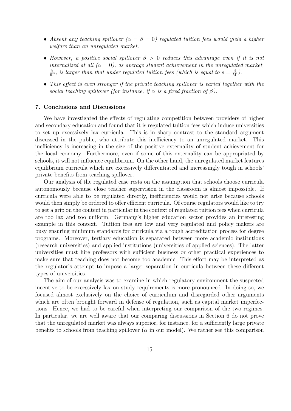- *Absent any teaching spillover*  $(\alpha = \beta = 0)$  *regulated tuition fees would yield a higher welfare than an unregulated market.*
- *• However, a positive social spillover β >* 0 *reduces this advantage even if it is not internalized at all*  $(\alpha = 0)$ , as average student achievement in the unregulated market,  $\frac{8}{91}$ , is larger than that under regulated tuition fees (which is equal to  $s = \frac{4}{51}$ ).
- *• This effect is even stronger if the private teaching spillover is varied together with the social teaching spillover (for instance, if*  $\alpha$  *is a fixed fraction of*  $\beta$ ).

#### **7. Conclusions and Discussions**

We have investigated the effects of regulating competition between providers of higher and secondary education and found that it is regulated tuition fees which induce universities to set up excessively lax curricula. This is in sharp contrast to the standard argument discussed in the public, who attribute this inefficiency to an unregulated market. This inefficiency is increasing in the size of the positive externality of student achievement for the local economy. Furthermore, even if some of this externality can be appropriated by schools, it will not influence equilibrium. On the other hand, the unregulated market features equilibrium curricula which are excessively differentiated and increasingly tough in schools' private benefits from teaching spillover.

Our analysis of the regulated case rests on the assumption that schools choose curricula autonomously because close teacher supervision in the classroom is almost impossible. If curricula were able to be regulated directly, inefficiencies would not arise because schools would then simply be ordered to offer efficient curricula. Of course regulators would like to try to get a grip on the content in particular in the context of regulated tuition fees when curricula are too lax and too uniform. Germany's higher education sector provides an interesting example in this context. Tuition fees are low and very regulated and policy makers are busy ensuring minimum standards for curricula via a tough accreditation process for degree programs. Moreover, tertiary education is separated between more academic institutions (research universities) and applied institutions (universities of applied sciences). The latter universities must hire professors with sufficient business or other practical experiences to make sure that teaching does not become too academic. This effort may be interpreted as the regulator's attempt to impose a larger separation in curricula between these different types of universities.

The aim of our analysis was to examine in which regulatory environment the suspected incentive to be excessively lax on study requirements is more pronounced. In doing so, we focused almost exclusively on the choice of curriculum and disregarded other arguments which are often brought forward in defense of regulation, such as capital market imperfections. Hence, we had to be careful when interpreting our comparison of the two regimes. In particular, we are well aware that our comparing discussions in Section 6 do not prove that the unregulated market was always superior, for instance, for a sufficiently large private benefits to schools from teaching spillover ( $\alpha$  in our model). We rather see this comparison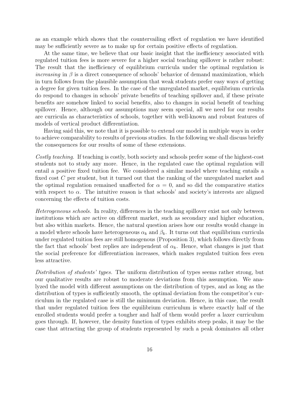as an example which shows that the countervailing effect of regulation we have identified may be sufficiently severe as to make up for certain positive effects of regulation.

At the same time, we believe that our basic insight that the inefficiency associated with regulated tuition fees is more severe for a higher social teaching spillover is rather robust: The result that the inefficiency of equilibrium curricula under the optimal regulation is *increasing* in  $\beta$  is a direct consequence of schools' behavior of demand maximization, which in turn follows from the plausible assumption that weak students prefer easy ways of getting a degree for given tuition fees. In the case of the unregulated market, equilibrium curricula do respond to changes in schools' private benefits of teaching spillover and, if these private benefits are somehow linked to social benefits, also to changes in social benefit of teaching spillover. Hence, although our assumptions may seem special, all we need for our results are curricula as characteristics of schools, together with well-known and robust features of models of vertical product differentiation.

Having said this, we note that it is possible to extend our model in multiple ways in order to achieve comparability to results of previous studies. In the following we shall discuss briefly the consequences for our results of some of these extensions.

*Costly teaching.* If teaching is costly, both society and schools prefer some of the highest-cost students not to study any more. Hence, in the regulated case the optimal regulation will entail a positive fixed tuition fee. We considered a similar model where teaching entails a fixed cost *C* per student, but it turned out that the ranking of the unregulated market and the optimal regulation remained unaffected for  $\alpha = 0$ , and so did the comparative statics with respect to  $\alpha$ . The intuitive reason is that schools' and society's interests are aligned concerning the effects of tuition costs.

*Heterogeneous schools.* In reality, differences in the teaching spillover exist not only between institutions which are active on different market, such as secondary and higher education, but also within markets. Hence, the natural question arises how our results would change in a model where schools have heterogeneous  $\alpha_k$  and  $\beta_k$ . It turns out that equilibrium curricula under regulated tuition fees are still homogenous (Proposition 3), which follows directly from the fact that schools' best replies are independent of  $\alpha_k$ . Hence, what changes is just that the social preference for differentiation increases, which makes regulated tuition fees even less attractive.

*Distribution of students' types.* The uniform distribution of types seems rather strong, but our qualitative results are robust to moderate deviations from this assumption. We analyzed the model with different assumptions on the distribution of types, and as long as the distribution of types is sufficiently smooth, the optimal deviation from the competitor's curriculum in the regulated case is still the minimum deviation. Hence, in this case, the result that under regulated tuition fees the equilibrium curriculum is where exactly half of the enrolled students would prefer a tougher and half of them would prefer a laxer curriculum goes through. If, however, the density function of types exhibits steep peaks, it may be the case that attracting the group of students represented by such a peak dominates all other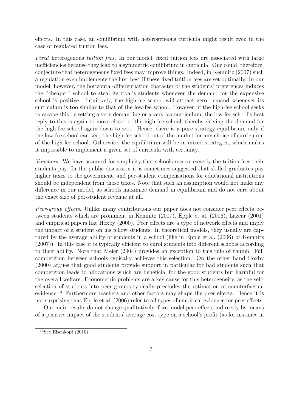effects. In this case, an equilibrium with heterogeneous curricula might result even in the case of regulated tuition fees.

*Fixed* heterogenous *tuition fees.* In our model, fixed tuition fees are associated with large inefficiencies because they lead to a symmetric equilibrium in curricula. One could, therefore, conjecture that heterogeneous fixed fees may improve things. Indeed, in Kemnitz (2007) such a regulation even implements the first best if these fixed tuition fees are set optimally. In our model, however, the horizontal-differentiation character of the students' preferences induces the "cheaper" school to steal its rival's students whenever the demand for the expensive school is positive. Intuitively, the high-fee school will attract zero demand whenever its curriculum is too similar to that of the low-fee school. However, if the high-fee school seeks to escape this by setting a very demanding or a very lax curriculum, the low-fee school's best reply to this is again to move closer to the high-fee school, thereby driving the demand for the high-fee school again down to zero. Hence, there is a pure strategy equilibrium only if the low-fee school can keep the high-fee school out of the market for any choice of curriculum of the high-fee school. Otherwise, the equilibrium will be in mixed strategies, which makes it impossible to implement a given set of curricula with certainty.

*Vouchers.* We have assumed for simplicity that schools receive exactly the tuition fees their students pay. In the public discussion it is sometimes suggested that skilled graduates pay higher taxes to the government, and per-student compensations for educational institutions should be independent from those taxes. Note that such an assumption would not make any difference in our model, as schools maximize demand in equilibrium and do not care about the exact size of per-student revenue at all.

*Peer-group effects.* Unlike many contributions our paper does not consider peer effects between students which are prominent in Kemnitz (2007), Epple et al. (2006), Lazear (2001) and empirical papers like Hoxby (2000). Peer effects are a type of network effects and imply the impact of a student on his fellow students. In theoretical models, they usually are captured by the average ability of students in a school (like in Epple et al. (2006) or Kemnitz (2007)). In this case it is typically efficient to enrol students into different schools according to their ability. Note that Meier (2004) provides an exception to this rule of thumb. Full competition between schools typically achieves this selection. On the other hand Hoxby (2000) argues that good students provide support in particular for bad students such that competition leads to allocations which are beneficial for the good students but harmful for the overall welfare. Econometric problems are a key cause for this heterogeneity, as the selfselection of students into peer groups typically precludes the estimation of counterfactual evidence.<sup>13</sup> Furthermore teachers and other factors may shape the peer effects. Hence it is not surprising that Epple et al. (2006) refer to all types of empirical evidence for peer effects.

Our main results do not change qualitatively if we model peer effects indirectly by means of a positive impact of the students' average cost type on a school's profit (as for instance in

 $13$ See Eisenkopf (2010).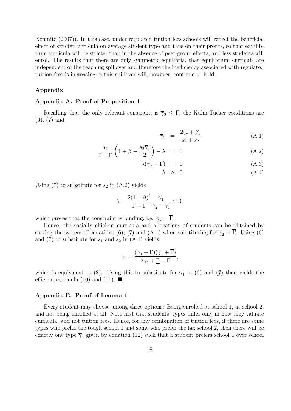Kemnitz (2007)). In this case, under regulated tuition fees schools will reflect the beneficial effect of stricter curricula on average student type and thus on their profits, so that equilibrium curricula will be stricter than in the absence of peer-group effects, and less students will enrol. The results that there are only symmetric equilibria, that equilibrium curricula are independent of the teaching spillover and therefore the inefficiency associated with regulated tuition fees is increasing in this spillover will, however, continue to hold.

## **Appendix**

#### **Appendix A. Proof of Proposition 1**

Recalling that the only relevant constraint is  $\overline{\gamma}_2 \leq \overline{\Gamma}$ , the Kuhn-Tucker conditions are (6), (7) and

$$
\overline{\gamma}_1 = \frac{2(1+\beta)}{s_1+s_2} \tag{A.1}
$$

$$
\frac{s_2}{\overline{\Gamma} - \underline{\Gamma}} \left( 1 + \beta - \frac{s_2 \overline{\gamma}_2}{2} \right) - \lambda = 0 \tag{A.2}
$$

$$
\lambda(\overline{\gamma}_2 - \overline{\Gamma}) = 0 \tag{A.3}
$$

$$
\lambda \geq 0. \tag{A.4}
$$

Using  $(7)$  to substitute for  $s_2$  in  $(A.2)$  yields

$$
\lambda = \frac{2(1+\beta)^2}{\overline{\Gamma} - \underline{\Gamma}} \frac{\overline{\gamma}_1}{\overline{\gamma}_2 + \overline{\gamma}_1} > 0,
$$

which proves that the constraint is binding, i.e.  $\overline{\gamma}_2 = \overline{\Gamma}$ .

Hence, the socially efficient curricula and allocations of students can be obtained by solving the system of equations (6), (7) and (A.1) when substituting for  $\overline{\gamma}_2 = \overline{\Gamma}$ . Using (6) and  $(7)$  to substitute for  $s_1$  and  $s_2$  in  $(A.1)$  yields

$$
\overline{\gamma}_1 = \frac{(\overline{\gamma}_1 + \underline{\Gamma})(\overline{\gamma}_1 + \overline{\Gamma})}{2\overline{\gamma}_1 + \underline{\Gamma} + \overline{\Gamma}},
$$

which is equivalent to (8). Using this to substitute for  $\overline{\gamma}_1$  in (6) and (7) then yields the efficient curricula (10) and (11).  $\blacksquare$ 

#### **Appendix B. Proof of Lemma 1**

Every student may choose among three options: Being enrolled at school 1, at school 2, and not being enrolled at all. Note first that students' types differ only in how they valuate curricula, and not tuition fees. Hence, for any combination of tuition fees, if there are some types who prefer the tough school 1 and some who prefer the lax school 2, then there will be exactly one type  $\overline{\gamma}_1$  given by equation (12) such that a student prefers school 1 over school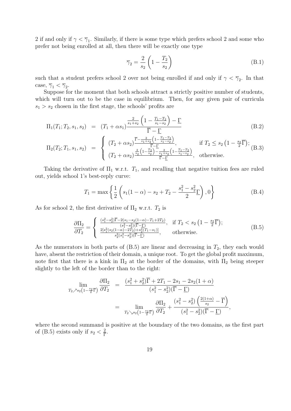2 if and only if  $\gamma < \overline{\gamma}_1$ . Similarly, if there is some type which prefers school 2 and some who prefer not being enrolled at all, then there will be exactly one type

$$
\overline{\gamma}_2 = \frac{2}{s_2} \left( 1 - \frac{T_2}{s_2} \right) \tag{B.1}
$$

such that a student prefers school 2 over not being enrolled if and only if  $\gamma < \overline{\gamma}_2$ . In that case,  $\overline{\gamma}_1 < \overline{\gamma}_2$ .

Suppose for the moment that both schools attract a strictly positive number of students, which will turn out to be the case in equilibrium. Then, for any given pair of curricula  $s_1 > s_2$  chosen in the first stage, the schools' profits are

$$
\Pi_{1}(T_{1}; T_{2}, s_{1}, s_{2}) = (T_{1} + \alpha s_{1}) \frac{\frac{2}{s_{1} + s_{2}} \left(1 - \frac{T_{1} - T_{2}}{s_{1} - s_{2}}\right) - \underline{\Gamma}}{\overline{\Gamma} - \underline{\Gamma}} \qquad (B.2)
$$
\n
$$
\Pi_{2}(T_{2}; T_{1}, s_{1}, s_{2}) = \begin{cases}\n(T_{2} + \alpha s_{2}) \frac{\overline{\Gamma} - \frac{2}{s_{1} + s_{2}} \left(1 - \frac{T_{1} - T_{2}}{s_{1} - s_{2}}\right)}{\overline{\Gamma} - \underline{\Gamma}}, & \text{if } T_{2} \le s_{2} \left(1 - \frac{s_{2}}{2}\overline{\Gamma}\right); \\
(T_{2} + \alpha s_{2}) \frac{\frac{2}{s_{2}} \left(1 - \frac{T_{2}}{s_{2}}\right) - \frac{2}{s_{1} + s_{2}} \left(1 - \frac{T_{1} - T_{2}}{s_{1} - s_{2}}\right)}{\overline{\Gamma} - \underline{\Gamma}}, & \text{otherwise.} \n\end{cases}
$$
\n(B.3)

Taking the derivative of  $\Pi_1$  w.r.t.  $T_1$ , and recalling that negative tuition fees are ruled out, yields school 1's best-reply curve:

$$
T_1 = \max\left\{\frac{1}{2}\left(s_1(1-\alpha) - s_2 + T_2 - \frac{s_1^2 - s_2^2}{2}\underline{\Gamma}\right), 0\right\}
$$
(B.4)

As for school 2, the first derivative of  $\Pi_2$  w.r.t.  $T_2$  is

$$
\frac{\partial \Pi_2}{\partial T_2} = \begin{cases}\n\frac{(s_1^2 - s_2^2)\overline{\Gamma} - 2(s_1 - s_2(1 - \alpha) - T_1 + 2T_2)}{(s_1^2 - s_2^2)(\overline{\Gamma} - \Gamma)}, & \text{if } T_2 < s_2 \left(1 - \frac{s_2}{2}\overline{\Gamma}\right); \\
\frac{2[s_1^2(s_2(1 - \alpha) - 2T_2) + s_2^2(T_1 - s_1)]}{s_2^2(s_1^2 - s_2^2)(\overline{\Gamma} - \Gamma)}, & \text{otherwise.} \n\end{cases} (B.5)
$$

As the numerators in both parts of  $(B.5)$  are linear and decreasing in  $T_2$ , they each would have, absent the restriction of their domain, a unique root. To get the global profit maximum, note first that there is a kink in  $\Pi_2$  at the border of the domains, with  $\Pi_2$  being steeper slightly to the left of the border than to the right:

$$
\lim_{T_2 \nearrow s_2 \left(1 - \frac{s_2}{2}\overline{\Gamma}\right)} \frac{\partial \Pi_2}{\partial T_2} = \frac{\left(s_1^2 + s_2^2\right)\overline{\Gamma} + 2T_1 - 2s_1 - 2s_2(1+\alpha)}{\left(s_1^2 - s_2^2\right)(\overline{\Gamma} - \underline{\Gamma})}
$$
\n
$$
= \lim_{T_2 \searrow s_2 \left(1 - \frac{s_2}{2}\overline{\Gamma}\right)} \frac{\partial \Pi_2}{\partial T_2} + \frac{\left(s_1^2 - s_2^2\right)\left(\frac{2(1+\alpha)}{s_2} - \overline{\Gamma}\right)}{\left(s_1^2 - s_2^2\right)(\overline{\Gamma} - \underline{\Gamma})},
$$

where the second summand is positive at the boundary of the two domains, as the first part of (B.5) exists only if  $s_2 < \frac{2}{5}$  $\frac{2}{\overline{\Gamma}}$ .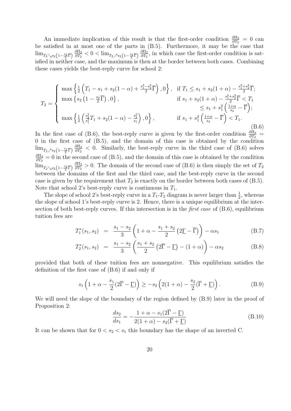An immediate implication of this result is that the first-order condition  $\frac{\partial \Pi_2}{\partial T_2} = 0$  can be satisfied in at most one of the parts in (B.5). Furthermore, it may be the case that  $\lim_{T_2 \searrow s_2 \left(1-\frac{s_2}{2}\overline{\Gamma}\right)} \frac{\partial \Pi_2}{\partial T_2}$  $\frac{\partial \Pi_2}{\partial T_2} < 0 < \lim_{T_2 \nearrow s_2 \left(1 - \frac{s_2}{2} \overline{\Gamma}\right)} \frac{\partial \Pi_2}{\partial T_2}$  $\frac{\partial \Pi_2}{\partial T_2}$ , in which case the first-order condition is satisfied in neither case, and the maximum is then at the border between both cases. Combining these cases yields the best-reply curve for school 2:

$$
T_2 = \begin{cases} \max\left\{\frac{1}{2}\left(T_1 - s_1 + s_2(1-\alpha) + \frac{s_1^2 - s_2^2}{2}\overline{\Gamma}\right), 0\right\}, & \text{if } T_1 \le s_1 + s_2(1+\alpha) - \frac{s_1^2 + s_2^2}{2}\overline{\Gamma};\\ \max\left\{s_2\left(1 - \frac{s_2}{2}\overline{\Gamma}\right), 0\right\}, & \text{if } s_1 + s_2(1+\alpha) - \frac{s_1^2 + s_2^2}{2}\overline{\Gamma} < T_1\\ \max\left\{\frac{1}{2}\left(\frac{s_2^2}{s_1^2}T_1 + s_2(1-\alpha) - \frac{s_2^2}{s_1}\right), 0\right\}, & \text{if } s_1 + s_1^2\left(\frac{1+\alpha}{s_2} - \overline{\Gamma}\right) < T_1. \end{cases} \tag{B.6}
$$

In the first case of (B.6), the best-reply curve is given by the first-order condition  $\frac{\partial \Pi_2}{\partial T_2}$  = 0 in the first case of (B.5), and the domain of this case is obtained by the condition  $\lim_{T_2 \nearrow s_2\left(1-\frac{s_2}{2}\overline{\Gamma}\right)} \frac{\partial \Pi_2}{\partial T_2}$  $\frac{\partial \Pi_2}{\partial T_2}$  < 0. Similarly, the best-reply curve in the third case of (B.6) solves *∂*Π<sup>2</sup>  $\frac{\partial \Pi_2}{\partial T_2} = 0$  in the second case of (B.5), and the domain of this case is obtained by the condition  $\lim_{T_2 \searrow s_2 \left(1-\frac{s_2}{2}\overline{\Gamma}\right)} \frac{\partial \Pi_2}{\partial T_2}$  $\frac{\partial \Pi_2}{\partial T_2}$  > 0. The domain of the second case of (B.6) is then simply the set of *T*<sub>2</sub> between the domains of the first and the third case, and the best-reply curve in the second case is given by the requirement that  $T_2$  is exactly on the border between both cases of  $(B.5)$ . Note that school 2's best-reply curve is continuous in *T*1.

The slope of school 2's best-reply curve in a  $T_1$ - $T_2$  diagram is never larger than  $\frac{1}{2}$ , whereas the slope of school 1's best-reply curve is 2. Hence, there is a unique equilibrium at the intersection of both best-reply curves. If this intersection is in the *first case* of (B.6), equilibrium tuition fees are

$$
T_1^*(s_1, s_2) = \frac{s_1 - s_2}{3} \left( 1 + \alpha - \frac{s_1 + s_2}{2} \left( 2\underline{\Gamma} - \overline{\Gamma} \right) \right) - \alpha s_1 \tag{B.7}
$$

$$
T_2^*(s_1, s_2) = \frac{s_1 - s_2}{3} \left( \frac{s_1 + s_2}{2} \left( 2\overline{\Gamma} - \underline{\Gamma} \right) - (1 + \alpha) \right) - \alpha s_2 \tag{B.8}
$$

provided that both of these tuition fees are nonnegative. This equilibrium satisfies the definition of the first case of (B.6) if and only if

$$
s_1\left(1+\alpha-\frac{s_1}{2}(2\overline{\Gamma}-\underline{\Gamma})\right)\geq -s_2\left(2(1+\alpha)-\frac{s_2}{2}(\overline{\Gamma}+\underline{\Gamma})\right). \tag{B.9}
$$

We will need the slope of the boundary of the region defined by  $(B.9)$  later in the proof of Proposition 2:

$$
\frac{ds_2}{ds_1} = -\frac{1+\alpha - s_1(2\overline{\Gamma} - \underline{\Gamma})}{2(1+\alpha) - s_2(\overline{\Gamma} + \underline{\Gamma})}
$$
(B.10)

It can be shown that for  $0 < s_2 < s_1$  this boundary has the shape of an inverted C.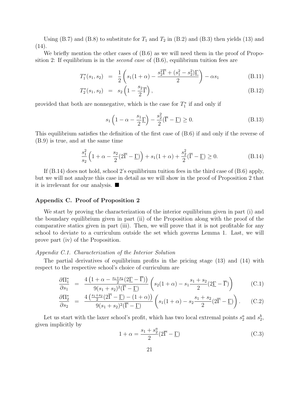Using  $(B.7)$  and  $(B.8)$  to substitute for  $T_1$  and  $T_2$  in  $(B.2)$  and  $(B.3)$  then yields  $(13)$  and  $(14).$ 

We briefly mention the other cases of  $(B.6)$  as we will need them in the proof of Proposition 2: If equilibrium is in the *second case* of (B.6), equilibrium tuition fees are

$$
T_1^*(s_1, s_2) = \frac{1}{2} \left( s_1(1+\alpha) - \frac{s_2^2 \overline{\Gamma} + (s_1^2 - s_2^2) \underline{\Gamma}}{2} \right) - \alpha s_1
$$
 (B.11)

$$
T_2^*(s_1, s_2) = s_2 \left(1 - \frac{s_2}{2}\overline{\Gamma}\right), \tag{B.12}
$$

provided that both are nonnegative, which is the case for  $T_1^*$  if and only if

$$
s_1 \left( 1 - \alpha - \frac{s_1}{2} \underline{\Gamma} \right) - \frac{s_2^2}{2} (\overline{\Gamma} - \underline{\Gamma}) \ge 0. \tag{B.13}
$$

This equilibrium satisfies the definition of the first case of (B.6) if and only if the reverse of (B.9) is true, and at the same time

$$
\frac{s_1^2}{s_2} \left( 1 + \alpha - \frac{s_2}{2} (2\overline{\Gamma} - \underline{\Gamma}) \right) + s_1 (1 + \alpha) + \frac{s_2^2}{2} (\overline{\Gamma} - \underline{\Gamma}) \ge 0.
$$
 (B.14)

If  $(B.14)$  does not hold, school 2's equilibrium tuition fees in the third case of  $(B.6)$  apply, but we will not analyze this case in detail as we will show in the proof of Proposition 2 that it is irrelevant for our analysis.

#### **Appendix C. Proof of Proposition 2**

We start by proving the characterization of the interior equilibrium given in part (i) and the boundary equilibrium given in part (ii) of the Proposition along with the proof of the comparative statics given in part (iii). Then, we will prove that it is not profitable for any school to deviate to a curriculum outside the set which governs Lemma 1. Last, we will prove part (iv) of the Proposition.

#### *Appendix C.1. Characterization of the Interior Solution*

The partial derivatives of equilibrium profits in the pricing stage (13) and (14) with respect to the respective school's choice of curriculum are

$$
\frac{\partial \Pi_1^*}{\partial s_1} = \frac{4\left(1+\alpha - \frac{s_1+s_2}{2}(2\underline{\Gamma} - \overline{\Gamma})\right)}{9(s_1+s_2)^2(\overline{\Gamma} - \underline{\Gamma})} \left(s_2(1+\alpha) - s_1 \frac{s_1+s_2}{2}(2\underline{\Gamma} - \overline{\Gamma})\right)
$$
(C.1)

$$
\frac{\partial \Pi_2^*}{\partial s_2} = \frac{4\left(\frac{s_1+s_2}{2}(2\overline{\Gamma}-\underline{\Gamma})-(1+\alpha)\right)}{9(s_1+s_2)^2(\overline{\Gamma}-\underline{\Gamma})} \left(s_1(1+\alpha)-s_2\frac{s_1+s_2}{2}(2\overline{\Gamma}-\underline{\Gamma})\right). \tag{C.2}
$$

Let us start with the laxer school's profit, which has two local extremal points  $s_2^a$  and  $s_2^b$ , given implicitly by

$$
1 + \alpha = \frac{s_1 + s_2^a}{2} (2\overline{\Gamma} - \underline{\Gamma})
$$
 (C.3)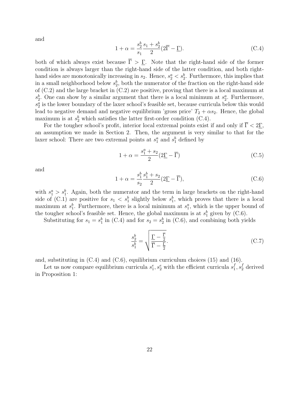and

$$
1 + \alpha = \frac{s_2^b}{s_1} \frac{s_1 + s_2^b}{2} (2\overline{\Gamma} - \underline{\Gamma}).
$$
 (C.4)

both of which always exist because  $\overline{\Gamma} > \Gamma$ . Note that the right-hand side of the former condition is always larger than the right-hand side of the latter condition, and both righthand sides are monotonically increasing in  $s_2$ . Hence,  $s_2^a < s_2^b$ . Furthermore, this implies that in a small neighborhood below  $s_2^b$ , both the numerator of the fraction on the right-hand side of (C.2) and the large bracket in (C.2) are positive, proving that there is a local maximum at  $s_2^b$ . One can show by a similar argument that there is a local minimum at  $s_2^a$ . Furthermore,  $s_2^a$  is the lower boundary of the laxer school's feasible set, because curricula below this would lead to negative demand and negative equilibrium 'gross price'  $T_2 + \alpha s_2$ . Hence, the global maximum is at  $s_2^b$  which satisfies the latter first-order condition (C.4).

For the tougher school's profit, interior local extremal points exist if and only if  $\overline{\Gamma} < 2\underline{\Gamma}$ , an assumption we made in Section 2. Then, the argument is very similar to that for the laxer school: There are two extremal points at  $s_1^a$  and  $s_1^b$  defined by

$$
1 + \alpha = \frac{s_1^a + s_2}{2} (2\underline{\Gamma} - \overline{\Gamma})
$$
 (C.5)

and

$$
1 + \alpha = \frac{s_1^b}{s_2} \frac{s_1^b + s_2}{2} (2\underline{\Gamma} - \overline{\Gamma}),
$$
 (C.6)

with  $s_1^a > s_1^b$ . Again, both the numerator and the term in large brackets on the right-hand side of (C.1) are positive for  $s_1 < s_1^b$  slightly below  $s_1^b$ , which proves that there is a local maximum at  $s_1^b$ . Furthermore, there is a local minimum at  $s_1^a$ , which is the upper bound of the tougher school's feasible set. Hence, the global maximum is at  $s_1^b$  given by (C.6).

Substituting for  $s_1 = s_1^b$  in (C.4) and for  $s_2 = s_2^b$  in (C.6), and combining both yields

$$
\frac{s_2^b}{s_1^b} = \sqrt{\frac{\underline{\Gamma} - \frac{\overline{\Gamma}}{2}}{\overline{\Gamma} - \frac{\Gamma}{2}}}.
$$
\n(C.7)

and, substituting in (C.4) and (C.6), equilibrium curriculum choices (15) and (16).

Let us now compare equilibrium curricula  $s_1^e, s_2^e$  with the efficient curricula  $s_1^f$  $s_1^f, s_2^f$  derived in Proposition 1: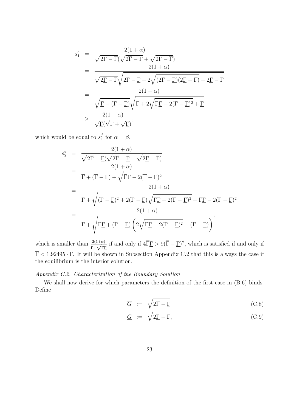$$
s_1^e = \frac{2(1+\alpha)}{\sqrt{2\underline{\Gamma} - \overline{\Gamma}}(\sqrt{2\overline{\Gamma} - \underline{\Gamma}} + \sqrt{2\underline{\Gamma} - \overline{\Gamma}})}= \frac{2(1+\alpha)}{\sqrt{2\underline{\Gamma} - \overline{\Gamma}}\sqrt{2\overline{\Gamma} - \underline{\Gamma} + 2\sqrt{(2\overline{\Gamma} - \underline{\Gamma})(2\underline{\Gamma} - \overline{\Gamma})} + 2\underline{\Gamma} - \overline{\Gamma}}= \frac{2(1+\alpha)}{\sqrt{\underline{\Gamma} - (\overline{\Gamma} - \underline{\Gamma})}\sqrt{\overline{\Gamma} + 2\sqrt{\overline{\Gamma} \underline{\Gamma} - 2(\overline{\Gamma} - \underline{\Gamma})^2} + \underline{\Gamma}}> \frac{2(1+\alpha)}{\sqrt{\underline{\Gamma}}(\sqrt{\overline{\Gamma}} + \sqrt{\underline{\Gamma}})},
$$

which would be equal to  $s_1^f$  $\int_1^f$  for  $\alpha = \beta$ .

$$
s_2^e = \frac{2(1+\alpha)}{\sqrt{2\overline{\Gamma} - \underline{\Gamma}}(\sqrt{2\overline{\Gamma} - \underline{\Gamma}} + \sqrt{2\underline{\Gamma} - \overline{\Gamma}})} = \frac{2(1+\alpha)}{\overline{\Gamma} + (\overline{\Gamma} - \underline{\Gamma}) + \sqrt{\overline{\Gamma}\underline{\Gamma} - 2(\overline{\Gamma} - \underline{\Gamma})^2}} = \frac{2(1+\alpha)}{\overline{\Gamma} + \sqrt{(\overline{\Gamma} - \underline{\Gamma})^2 + 2(\overline{\Gamma} - \underline{\Gamma})\sqrt{\overline{\Gamma}\underline{\Gamma} - 2(\overline{\Gamma} - \underline{\Gamma})^2 + \overline{\Gamma}\underline{\Gamma} - 2(\overline{\Gamma} - \underline{\Gamma})^2}} = \frac{2(1+\alpha)}{\overline{\Gamma} + \sqrt{\overline{\Gamma}\underline{\Gamma} + (\overline{\Gamma} - \underline{\Gamma})\left(2\sqrt{\overline{\Gamma}\underline{\Gamma} - 2(\overline{\Gamma} - \underline{\Gamma})^2 - (\overline{\Gamma} - \underline{\Gamma})}\right)},
$$

which is smaller than  $\frac{2(1+\alpha)}{\overline{\Gamma}+\sqrt{\overline{\Gamma}\Gamma}}$  if and only if  $4\overline{\Gamma}\Gamma > 9(\overline{\Gamma}-\Gamma)^2$ , which is satisfied if and only if  $\overline{\Gamma}$  < 1.92495 · <u> $\Gamma$ </u>. It will be shown in Subsection Appendix C.2 that this is always the case if the equilibrium is the interior solution.

## *Appendix C.2. Characterization of the Boundary Solution*

We shall now derive for which parameters the definition of the first case in  $(B.6)$  binds. Define

$$
\overline{G} := \sqrt{2\overline{\Gamma} - \underline{\Gamma}}
$$
 (C.8)

$$
\underline{G} := \sqrt{2\underline{\Gamma} - \overline{\Gamma}}, \tag{C.9}
$$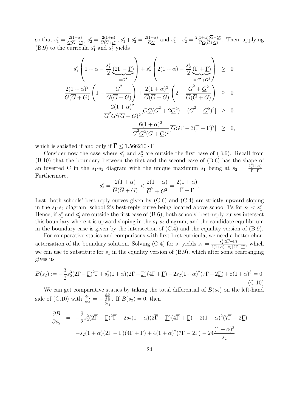so that  $s_1^e = \frac{2(1+\alpha)}{G(\overline{G}+G)}$  $\frac{2(1+\alpha)}{\underline{G}(\overline{G}+\underline{G})},\, s_2^e=\frac{2(1+\alpha)}{\overline{G}(\overline{G}+\underline{G})}$  $\frac{2(1+\alpha)}{\overline{G}(\overline{G}+\underline{G})}$ ,  $s_1^e + s_2^e = \frac{2(1+\alpha)}{\overline{G}G}$  and  $s_1^e - s_2^e = \frac{2(1+\alpha)(G-\underline{G})}{\overline{G}G(\overline{G}+\underline{G})}$  $\frac{1+\alpha(1-G)}{\overline{G}G(\overline{G}+G)}$ . Then, applying (B.9) to the curricula  $s_1^e$  and  $s_2^e$  yields

$$
s_1^e \left( 1 + \alpha - \frac{s_1^e}{2} \underbrace{(2\overline{\Gamma} - \underline{\Gamma})}_{=\overline{G}^2} \right) + s_2^e \left( 2(1 + \alpha) - \frac{s_2^e}{2} \underbrace{(\overline{\Gamma} + \underline{\Gamma})}_{=\overline{G}^2 + \underline{G}^2} \right) \geq 0
$$
  

$$
\frac{2(1 + \alpha)^2}{\underline{G}(\overline{G} + \underline{G})} \left( 1 - \frac{\overline{G}^2}{\underline{G}(\overline{G} + \underline{G})} \right) + \frac{2(1 + \alpha)^2}{\overline{G}(\overline{G} + \underline{G})} \left( 2 - \frac{\overline{G}^2 + \underline{G}^2}{\overline{G}(\overline{G} + \underline{G})} \right) \geq 0
$$
  

$$
\frac{2(1 + \alpha)^2}{\overline{G}^2 \underline{G}^2 (\overline{G} + \underline{G})^2} [\overline{G} \underline{G}(\overline{G}^2 + 2\underline{G}^2) - (\overline{G}^2 - \underline{G}^2)^2] \geq 0
$$
  

$$
\frac{6(1 + \alpha)^2}{\overline{G}^2 \underline{G}^2 (\overline{G} + \underline{G})^2} [\overline{G} \underline{G} \Gamma - 3(\overline{\Gamma} - \underline{\Gamma})^2] \geq 0,
$$

which is satisfied if and only if  $\overline{\Gamma} \leq 1.566210 \cdot \underline{\Gamma}$ .

Consider now the case where  $s_1^e$  and  $s_2^e$  are outside the first case of (B.6). Recall from (B.10) that the boundary between the first and the second case of (B.6) has the shape of an inverted C in the *s*<sub>1</sub>-*s*<sub>2</sub> diagram with the unique maximum *s*<sub>1</sub> being at  $s_2 = \frac{2(1+\alpha)}{\bar{\Gamma}+\Gamma}$ . Furthermore,

$$
s_2^e = \frac{2(1+\alpha)}{\overline{G}(\overline{G} + \underline{G})} < \frac{2(1+\alpha)}{\overline{G}^2 + \underline{G}^2} = \frac{2(1+\alpha)}{\overline{\Gamma} + \underline{\Gamma}}.
$$

Last, both schools' best-reply curves given by  $(C.6)$  and  $(C.4)$  are strictly upward sloping in the  $s_1$ - $s_2$  diagram, school 2's best-reply curve being located above school 1's for  $s_1 < s_1^e$ . Hence, if  $s_1^e$  and  $s_2^e$  are outside the first case of  $(B.6)$ , both schools' best-reply curves intersect this boundary where it is upward sloping in the  $s_1-s_2$  diagram, and the candidate equilibrium in the boundary case is given by the intersection of  $(C.4)$  and the equality version of  $(B.9)$ .

For comparative statics and comparisons with first-best curricula, we need a better characterization of the boundary solution. Solving (C.4) for  $s_1$  yields  $s_1 = \frac{s_2^2(2\overline{F} - \Gamma)}{2(1+\alpha)-s_2(2\overline{F} + \Gamma)}$  $\frac{s_2(z_1 - \underline{1})}{2(1+\alpha)-s_2(2\overline{\Gamma}-\underline{\Gamma})}$ , which we can use to substitute for  $s_1$  in the equality version of  $(B.9)$ , which after some rearranging gives us

$$
B(s_2) := -\frac{3}{2}s_2^3(2\overline{\Gamma} - \underline{\Gamma})^2\overline{\Gamma} + s_2^2(1+\alpha)(2\overline{\Gamma} - \underline{\Gamma})(4\overline{\Gamma} + \underline{\Gamma}) - 2s_2(1+\alpha)^2(7\overline{\Gamma} - 2\underline{\Gamma}) + 8(1+\alpha)^3 = 0.
$$
\n(C.10)

We can get comparative statics by taking the total differential of  $B(s_2)$  on the left-hand side of (C.10) with  $\frac{ds_2}{d\alpha} = -\frac{\frac{\partial B}{\partial \alpha}}{\frac{\partial B}{\partial s_2}}$ . If  $B(s_2) = 0$ , then

$$
\frac{\partial B}{\partial s_2} = -\frac{9}{2}s_2^2(2\overline{\Gamma} - \underline{\Gamma})^2 \overline{\Gamma} + 2s_2(1+\alpha)(2\overline{\Gamma} - \underline{\Gamma})(4\overline{\Gamma} + \underline{\Gamma}) - 2(1+\alpha)^2(7\overline{\Gamma} - 2\underline{\Gamma})
$$
  
=  $-s_2(1+\alpha)(2\overline{\Gamma} - \underline{\Gamma})(4\overline{\Gamma} + \underline{\Gamma}) + 4(1+\alpha)^2(7\overline{\Gamma} - 2\underline{\Gamma}) - 24\frac{(1+\alpha)^3}{s_2}$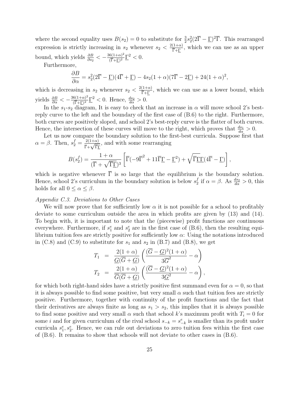where the second equality uses  $B(s_2) = 0$  to substitute for  $\frac{3}{2} s_2^2 (2\overline{\Gamma} - \underline{\Gamma})^2 \overline{\Gamma}$ . This rearranged expression is strictly increasing in  $s_2$  whenever  $s_2 < \frac{2(1+\alpha)}{\bar{\Gamma}+\Gamma}$ , which we can use as an upper bound, which yields  $\frac{\partial B}{\partial s_2} < -\frac{36(1+\alpha)^2}{(\overline{\Gamma} + \underline{\Gamma})^2}$  $\frac{16(1+\alpha)^2}{(\overline{\Gamma}+\underline{\Gamma})^2}\underline{\Gamma}^2 < 0.$ 

Furthermore,

$$
\frac{\partial B}{\partial \alpha} = s_2^2 (2\overline{\Gamma} - \underline{\Gamma})(4\overline{\Gamma} + \underline{\Gamma}) - 4s_2 (1 + \alpha)(7\overline{\Gamma} - 2\underline{\Gamma}) + 24(1 + \alpha)^2,
$$

which is decreasing in  $s_2$  whenever  $s_2 < \frac{2(1+\alpha)}{\bar{\Gamma}+\Gamma}$ , which we can use as a lower bound, which yields  $\frac{\partial B}{\partial \alpha} < -\frac{36(1+\alpha)^2}{(\overline{\Gamma} + \Gamma)^2}$  $\frac{6(1+\alpha)^2}{(\overline{\Gamma}+\underline{\Gamma})^2}\underline{\Gamma}^2 < 0$ . Hence,  $\frac{ds_2}{d\alpha} > 0$ .

In the  $s_1$ - $s_2$  diagram, It is easy to check that an increase in  $\alpha$  will move school 2's bestreply curve to the left and the boundary of the first case of (B.6) to the right. Furthermore, both curves are positively sloped, and school 2's best-reply curve is the flatter of both curves. Hence, the intersection of these curves will move to the right, which proves that  $\frac{ds_1}{d\alpha} > 0$ .

Let us now compare the boundary solution to the first-best curricula. Suppose first that  $\alpha = \beta$ . Then,  $s_2^f = \frac{2(1+\alpha)}{\bar{\Gamma}+\sqrt{\bar{\Gamma}\Gamma}}$ , and with some rearranging

$$
B(s_2^f) = \frac{1+\alpha}{(\overline{\Gamma} + \sqrt{\overline{\Gamma}\underline{\Gamma}})^3} \left[ \overline{\Gamma}(-9\overline{\Gamma}^2 + 11\overline{\Gamma}\underline{\Gamma} - \underline{\Gamma}^2) + \sqrt{\overline{\Gamma}\underline{\Gamma}\underline{\Gamma}}(4\overline{\Gamma} - \underline{\Gamma}) \right],
$$

which is negative whenever  $\overline{\Gamma}$  is so large that the equilibrium is the boundary solution. Hence, school 2's curriculum in the boundary solution is below  $s_2^f$  $\frac{f}{2}$  if  $\alpha = \beta$ . As  $\frac{ds_2}{d\alpha} > 0$ , this holds for all  $0 \leq \alpha \leq \beta$ .

### *Appendix C.3. Deviations to Other Cases*

We will now prove that for sufficiently low  $\alpha$  it is not possible for a school to profitably deviate to some curriculum outside the area in which profits are given by (13) and (14). To begin with, it is important to note that the (piecewise) profit functions are continuous everywhere. Furthermore, if  $s_1^e$  and  $s_2^e$  are in the first case of (B.6), then the resulting equilibrium tuition fees are strictly positive for sufficiently low  $\alpha$ : Using the notations introduced in  $(C.8)$  and  $(C.9)$  to substitute for  $s_1$  and  $s_2$  in  $(B.7)$  and  $(B.8)$ , we get

$$
T_1 = \frac{2(1+\alpha)}{\underline{G}(\overline{G}+\underline{G})} \left( \frac{(\overline{G}-\underline{G})^2(1+\alpha)}{3\overline{G}^2} - \alpha \right)
$$
  

$$
T_2 = \frac{2(1+\alpha)}{\overline{G}(\overline{G}+\underline{G})} \left( \frac{(\overline{G}-\underline{G})^2(1+\alpha)}{3\underline{G}^2} - \alpha \right),
$$

for which both right-hand sides have a strictly positive first summand even for  $\alpha = 0$ , so that it is always possible to find some positive, but very small  $\alpha$  such that tuition fees are strictly positive. Furthermore, together with continuity of the profit functions and the fact that their derivatives are always finite as long as  $s_1 > s_2$ , this implies that it is always possible to find some positive and very small  $\alpha$  such that school k's maximum profit with  $T_i = 0$  for some *i* and for given curriculum of the rival school  $s_{-k} = s_{-k}^e$  is smaller than its profit under curricula  $s_1^e, s_2^e$ . Hence, we can rule out deviations to zero tuition fees within the first case of  $(B.6)$ . It remains to show that schools will not deviate to other cases in  $(B.6)$ .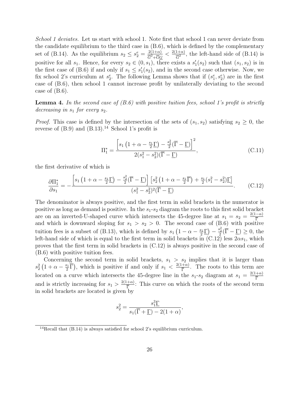*School 1 deviates.* Let us start with school 1. Note first that school 1 can never deviate from the candidate equilibrium to the third case in (B.6), which is defined by the complementary set of (B.14). As the equilibrium  $s_2 \leq s_2^e = \frac{2(1+\alpha)}{\overline{G}^2 + \overline{G}G}$  $\frac{2(1+\alpha)}{\overline{G}^2+\overline{G}\underline{G}}<\frac{2(1+\alpha)}{\overline{G}^2}$  $\frac{1+\alpha}{\overline{G}^2}$ , the left-hand side of (B.14) is positive for all  $s_1$ . Hence, for every  $s_2 \in (0, s_1)$ , there exists a  $s'_1(s_2)$  such that  $(s_1, s_2)$  is in the first case of (B.6) if and only if  $s_1 \leq s'_1(s_2)$ , and in the second case otherwise. Now, we fix school 2's curriculum at  $s_2^e$ . The following Lemma shows that if  $(s_1^e, s_2^e)$  are in the first case of (B.6), then school 1 cannot increase profit by unilaterally deviating to the second case of  $(B.6)$ .

**Lemma 4.** *In the second case of (B.6) with positive tuition fees, school 1's profit is strictly decreasing in s*<sup>1</sup> *for every s*2*.*

*Proof.* This case is defined by the intersection of the sets of  $(s_1, s_2)$  satisfying  $s_2 \geq 0$ , the reverse of  $(B.9)$  and  $(B.13).<sup>14</sup>$  School 1's profit is

$$
\Pi_1^* = \frac{\left[s_1 \left(1 + \alpha - \frac{s_1}{2}\underline{\Gamma}\right) - \frac{s_2^2}{2}(\overline{\Gamma} - \underline{\Gamma})\right]^2}{2(s_1^2 - s_2^2)(\overline{\Gamma} - \underline{\Gamma})},\tag{C.11}
$$

the first derivative of which is

$$
\frac{\partial \Pi_1^*}{\partial s_1} = -\frac{\left[s_1 \left(1 + \alpha - \frac{s_1}{2}\underline{\Gamma}\right) - \frac{s_2^2}{2}(\overline{\Gamma} - \underline{\Gamma})\right] \left[s_2^2 \left(1 + \alpha - \frac{s_1}{2}\overline{\Gamma}\right) + \frac{s_1}{2}\left(s_1^2 - s_2^2\right)\underline{\Gamma}\right]}{\left(s_1^2 - s_2^2\right)^2 (\overline{\Gamma} - \underline{\Gamma})}.
$$
\n(C.12)

The denominator is always positive, and the first term in solid brackets in the numerator is positive as long as demand is positive. In the *s*1-*s*<sup>2</sup> diagram the roots to this first solid bracket are on an inverted-U-shaped curve which intersects the 45-degree line at  $s_1 = s_2 = \frac{2(1-\alpha)}{\overline{p}}$ Γ and which is downward sloping for  $s_1 > s_2 > 0$ . The second case of (B.6) with positive tuition fees is a subset of (B.13), which is defined by  $s_1(1-\alpha-\frac{s_1}{2})$  $\frac{s_1}{2}\Gamma$  –  $\frac{s_2^2}{2}(\overline{\Gamma}-\Gamma) \geq 0$ , the left-hand side of which is equal to the first term in solid brackets in  $(C.12)$  less  $2\alpha s_1$ , which proves that the first term in solid brackets in (C.12) is always positive in the second case of (B.6) with positive tuition fees.

Concerning the second term in solid brackets,  $s_1 > s_2$  implies that it is larger than  $s_2^2(1+\alpha-\frac{s_1}{2})$  $\left(\frac{s_1}{2}\overline{\Gamma}\right)$ , which is positive if and only if  $s_1 < \frac{2(1+\alpha)}{\overline{\Gamma}}$  $\frac{+\alpha}{\overline{\Gamma}}$ . The roots to this term are located on a curve which intersects the 45-degree line in the  $s_1$ - $s_2$  diagram at  $s_1 = \frac{2(1+\alpha)}{\overline{p}}$ Γ and is strictly increasing for  $s_1 > \frac{2(1+\alpha)}{\overline{p}}$  $\frac{1+\alpha}{\overline{\Gamma}}$ : This curve on which the roots of the second term in solid brackets are located is given by

$$
s_2^2 = \frac{s_1^3 \Gamma}{s_1(\overline{\Gamma} + \underline{\Gamma}) - 2(1 + \alpha)},
$$

 $14$ Recall that (B.14) is always satisfied for school 2's equilibrium curriculum.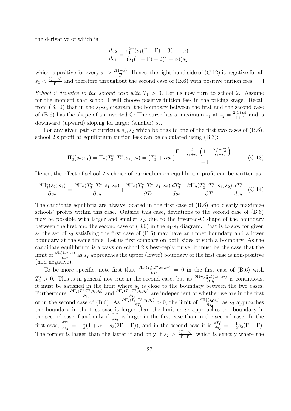the derivative of which is

$$
\frac{ds_2}{ds_1} = \frac{s_1^2 \Gamma(s_1(\overline{\Gamma} + \underline{\Gamma}) - 3(1+\alpha))}{(s_1(\overline{\Gamma} + \underline{\Gamma}) - 2(1+\alpha))s_2},
$$

which is positive for every  $s_1 > \frac{2(1+\alpha)}{\overline{\Gamma}}$  $\frac{+\alpha}{\overline{\Gamma}}$ . Hence, the right-hand side of (C.12) is negative for all  $s_2 < \frac{2(1+\alpha)}{\overline{\Gamma}}$  $\frac{1+\alpha}{\overline{\Gamma}}$  and therefore throughout the second case of (B.6) with positive tuition fees.  $\Box$ *School 2 deviates to the second case with*  $T_1 > 0$ . Let us now turn to school 2. Assume for the moment that school 1 will choose positive tuition fees in the pricing stage. Recall from (B.10) that in the *s*1-*s*<sup>2</sup> diagram, the boundary between the first and the second case of (B.6) has the shape of an inverted C: The curve has a maximum  $s_1$  at  $s_2 = \frac{2(1+\alpha)}{\bar{\Gamma}+\Gamma}$  and is downward (upward) sloping for larger (smaller) *s*2.

For any given pair of curricula  $s_1, s_2$  which belongs to one of the first two cases of (B.6), school 2's profit at equilibrium tuition fees can be calculated using (B.3):

$$
\Pi_2^*(s_2; s_1) = \Pi_2(T_2^*; T_1^*, s_1, s_2) = (T_2^* + \alpha s_2) \frac{\overline{\Gamma} - \frac{2}{s_1 + s_2} \left(1 - \frac{T_1^* - T_2^*}{s_1 - s_2}\right)}{\overline{\Gamma} - \underline{\Gamma}} \tag{C.13}
$$

Hence, the effect of school 2's choice of curriculum on equilibrium profit can be written as

$$
\frac{\partial \Pi_2^*(s_2; s_1)}{\partial s_2} = \frac{\partial \Pi_2(T_2^*; T_1^*, s_1, s_2)}{\partial s_2} + \frac{\partial \Pi_2(T_2^*; T_1^*, s_1, s_2)}{\partial T_2} \frac{dT_2^*}{ds_2} + \frac{\partial \Pi_2(T_2^*; T_1^*, s_1, s_2)}{\partial T_1} \frac{dT_1^*}{ds_2}.
$$
 (C.14)

The candidate equilibria are always located in the first case of (B.6) and clearly maximize schools' profits within this case. Outside this case, deviations to the second case of (B.6) may be possible with larger and smaller  $s_2$ , due to the inverted-C shape of the boundary between the first and the second case of  $(B.6)$  in the  $s_1-s_2$  diagram. That is to say, for given *s*<sup>1</sup> the set of *s*<sup>2</sup> satisfying the first case of (B.6) may have an upper boundary and a lower boundary at the same time. Let us first compare on both sides of such a boundary. As the candidate equilibrium is always on school 2's best-reply curve, it must be the case that the limit of  $\frac{\partial \Pi_2^*(s_2; s_1)}{\partial s_2}$ *∂*<sup>*s*2<sup>(82)</sup><sup>31</sup></sup>/<sub>∂s</sub><sup>2</sup> as *s*<sub>2</sub> approaches the upper (lower) boundary of the first case is non-positive (non-negative).

To be more specific, note first that  $\frac{\partial \Pi_2(T_2^*, T_1^*, s_1, s_2)}{\partial T_2} = 0$  in the first case of (B.6) with *∂T*<sup>2</sup>  $T_2^* > 0$ . This is in general not true in the second case, but as  $\frac{\partial \Pi_2(T_2^*, T_1^*, s_1, s_2)}{\partial T_2}$  $\frac{\partial^{2} I_{1}^{(1)}, s_{1}, s_{2})}{\partial T_{2}}$  is continuous, it must be satisfied in the limit where *s*<sup>2</sup> is close to the boundary between the two cases. Furthermore,  $\frac{\partial \Pi_2(T_2^*;T_1^*,s_1,s_2)}{\partial s_2}$  $\frac{\partial \Pi_2(T_2^*,T_1^*,s_1,s_2)}{\partial s_2}$  and  $\frac{\partial \Pi_2(T_2^*,T_1^*,s_1,s_2)}{\partial T_1}$  $\frac{\partial^2 H_1, s_1, s_2}{\partial T_1}$  are independent of whether we are in the first or in the second case of (B.6). As  $\frac{\partial \Pi_2(T_2^*, T_1^*, s_1, s_2)}{\partial T_1}$  $\frac{\partial \Pi_2^*(S_1;S_1,S_2)}{\partial T_1} > 0$ , the limit of  $\frac{\partial \Pi_2^*(S_2;S_1)}{\partial S_2}$  $\frac{\partial S_2}{\partial s_2}$  as *s*<sub>2</sub> approaches the boundary in the first case is larger than the limit as  $s_2$  approaches the boundary in the second case if and only if  $\frac{dT_1^*}{ds_2}$  is larger in the first case than in the second case. In the first case,  $\frac{dT_1^*}{ds_2} = -\frac{1}{3}$  $\frac{1}{3}(1 + \alpha - s_2(2\underline{\Gamma} - \overline{\Gamma}))$ , and in the second case it is  $\frac{dT_1^*}{ds_2} = -\frac{1}{2}$  $rac{1}{2} s_2(\Gamma - \underline{\Gamma}).$ The former is larger than the latter if and only if  $s_2 > \frac{2(1+\alpha)}{\bar{\Gamma}+\Gamma}$ , which is exactly where the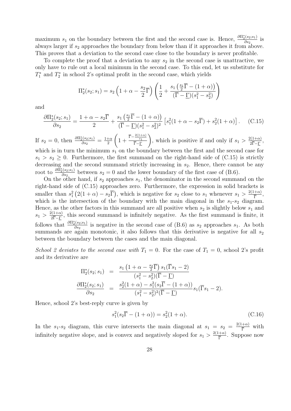maximum  $s_1$  on the boundary between the first and the second case is. Hence,  $\frac{\partial \Pi_2^*(s_2; s_1)}{\partial s_2}$  $\frac{\partial^2 s}{\partial s_2}$  is always larger if  $s_2$  approaches the boundary from below than if it approaches it from above. This proves that a deviation to the second case close to the boundary is never profitable.

To complete the proof that a deviation to any  $s_2$  in the second case is unattractive, we only have to rule out a local minimum in the second case. To this end, let us substitute for  $T_1^*$  and  $T_2^*$  in school 2's optimal profit in the second case, which yields

$$
\Pi_2^*(s_2; s_1) = s_2 \left(1 + \alpha - \frac{s_2}{2}\overline{\Gamma}\right) \left(\frac{1}{2} + \frac{s_1\left(\frac{s_1}{2}\overline{\Gamma} - (1 + \alpha)\right)}{(\overline{\Gamma} - \underline{\Gamma})(s_1^2 - s_2^2)}\right)
$$

and

$$
\frac{\partial \Pi_2^*(s_2; s_1)}{\partial s_2} = \frac{1 + \alpha - s_2 \overline{\Gamma}}{2} + \frac{s_1 \left(\frac{s_1}{2} \overline{\Gamma} - (1 + \alpha)\right)}{(\overline{\Gamma} - \underline{\Gamma})(s_1^2 - s_2^2)^2} \left[s_1^2 (1 + \alpha - s_2 \overline{\Gamma}) + s_2^2 (1 + \alpha)\right].
$$
 (C.15)

If  $s_2 = 0$ , then  $\frac{\partial \Pi_2^*(s_2; s_1)}{\partial s_2}$  $\frac{\partial}{\partial s_2}^{(s_2;s_1)} = \frac{1+\alpha}{2}$ 2  $\left(1+\frac{\overline{\Gamma}-\frac{2(1+\alpha)}{s_1}}{\overline{\Gamma}-\Gamma}\right)$ Γ*−*Γ ), which is positive if and only if  $s_1 > \frac{2(1+\alpha)}{2\overline{R}-R}$  $rac{2(1+\alpha)}{2\overline{\Gamma}-\underline{\Gamma}},$ which is in turn the minimum  $s_1$  on the boundary between the first and the second case for  $s_1 > s_2 \geq 0$ . Furthermore, the first summand on the right-hand side of (C.15) is strictly decreasing and the second summand strictly increasing in  $s_2$ . Hence, there cannot be any root to  $\frac{\partial \Pi_2^*(s_2; s_1)}{\partial s_2}$  $\frac{\partial^2 S^{(s_2,s_1)}}{\partial s_2}$  between  $s_2 = 0$  and the lower boundary of the first case of (B.6).

On the other hand, if  $s_2$  approaches  $s_1$ , the denominator in the second summand on the right-hand side of (C.15) approaches zero. Furthermore, the expression in solid brackets is smaller than  $s_1^2(2(1+\alpha)-s_2\overline{\Gamma})$ , which is negative for  $s_2$  close to  $s_1$  whenever  $s_1 > \frac{2(1+\alpha)}{\overline{\Gamma}}$  $rac{+\alpha)}{\overline{\Gamma}},$ which is the intersection of the boundary with the main diagonal in the  $s_1-s_2$  diagram. Hence, as the other factors in this summand are all positive when  $s_2$  is slightly below  $s_1$  and  $s_1 > \frac{2(1+\alpha)}{2\overline{P}-P}$  $\frac{2(1+\alpha)}{2\overline{\Gamma}-\Gamma}$ , this second summand is infinitely negative. As the first summand is finite, it follows that  $\frac{\partial \Pi_2^*(s_2; s_1)}{\partial s_2}$  $\frac{\partial^2 S^{(s_2,s_1)}}{\partial s_2}$  is negative in the second case of (B.6) as  $s_2$  approaches  $s_1$ . As both summands are again monotonic, it also follows that this derivative is negative for all  $s<sub>2</sub>$ between the boundary between the cases and the main diagonal.

*School 2 deviates to the second case with*  $T_1 = 0$ . For the case of  $T_1 = 0$ , school 2's profit and its derivative are

$$
\Pi_2^*(s_2; s_1) = \frac{s_1 (1 + \alpha - \frac{s_2}{2}\overline{\Gamma}) s_1(\overline{\Gamma}s_1 - 2)}{(s_1^2 - s_2^2)(\overline{\Gamma} - \Gamma)}
$$
  
\n
$$
\frac{\partial \Pi_2^*(s_2; s_1)}{\partial s_2} = \frac{s_2^2 (1 + \alpha) - s_1^2 (s_2 \overline{\Gamma} - (1 + \alpha))}{(s_1^2 - s_2^2)^2 (\overline{\Gamma} - \Gamma)} s_1(\overline{\Gamma}s_1 - 2).
$$

Hence, school 2's best-reply curve is given by

$$
s_1^2(s_2\overline{\Gamma} - (1+\alpha)) = s_2^2(1+\alpha).
$$
 (C.16)

In the  $s_1$ - $s_2$  diagram, this curve intersects the main diagonal at  $s_1 = s_2 = \frac{2(1+\alpha)}{\overline{p}}$  $rac{1+\alpha}{\overline{\Gamma}}$  with infinitely negative slope, and is convex and negatively sloped for  $s_1 > \frac{2(1+\alpha)}{\overline{p}}$  $\frac{1+\alpha}{\overline{\Gamma}}$ . Suppose now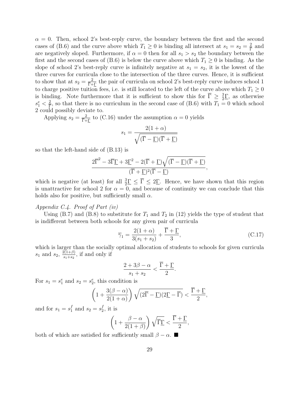$\alpha = 0$ . Then, school 2's best-reply curve, the boundary between the first and the second cases of (B.6) and the curve above which  $T_1 \geq 0$  is binding all intersect at  $s_1 = s_2 = \frac{2}{\overline{1}}$  $rac{2}{\Gamma}$  and are negatively sloped. Furthermore, if  $\alpha = 0$  then for all  $s_1 > s_2$  the boundary between the first and the second cases of (B.6) is below the curve above which  $T_1 \geq 0$  is binding. As the slope of school 2's best-reply curve is infinitely negative at  $s_1 = s_2$ , it is the lowest of the three curves for curricula close to the intersection of the three curves. Hence, it is sufficient to show that at  $s_2 = \frac{2}{\overline{\Gamma} + \Gamma}$  the pair of curricula on school 2's best-reply curve induces school 1 to charge positive tuition fees, i.e. is still located to the left of the curve above which  $T_1 \geq 0$ is binding. Note furthermore that it is sufficient to show this for  $\overline{\Gamma} \geq \frac{3}{2}$  $\frac{3}{2}$ , as otherwise  $s_1^e < \frac{2}{\overline{\Gamma}}$  $\frac{2}{\Gamma}$ , so that there is no curriculum in the second case of (B.6) with  $T_1 = 0$  which school 2 could possibly deviate to.

Applying  $s_2 = \frac{2}{\overline{\Gamma} + \Gamma}$  to (C.16) under the assumption  $\alpha = 0$  yields

$$
s_1 = \frac{2(1+\alpha)}{\sqrt{(\overline{\Gamma} - \underline{\Gamma})(\overline{\Gamma} + \underline{\Gamma})}}
$$

so that the left-hand side of (B.13) is

$$
\frac{2\overline{\Gamma}^2-3\overline{\Gamma}\underline{\Gamma}+3\underline{\Gamma}^2-2(\overline{\Gamma}+\underline{\Gamma})\sqrt{(\overline{\Gamma}-\underline{\Gamma})(\overline{\Gamma}+\underline{\Gamma})}}{(\overline{\Gamma}+\underline{\Gamma})^2(\overline{\Gamma}-\underline{\Gamma})},
$$

which is negative (at least) for all  $\frac{3}{2}\Gamma \leq \overline{\Gamma} \leq 2\Gamma$ . Hence, we have shown that this region is unattractive for school 2 for  $\alpha = 0$ , and because of continuity we can conclude that this holds also for positive, but sufficiently small *α*.

#### *Appendix C.4. Proof of Part (iv)*

Using  $(B.7)$  and  $(B.8)$  to substitute for  $T_1$  and  $T_2$  in  $(12)$  yields the type of student that is indifferent between both schools for any given pair of curricula

$$
\overline{\gamma}_1 = \frac{2(1+\alpha)}{3(s_1+s_2)} + \frac{\overline{\Gamma} + \underline{\Gamma}}{3},\tag{C.17}
$$

which is larger than the socially optimal allocation of students to schools for given curricula  $s_1$  and  $s_2$ ,  $\frac{2(1+\beta)}{s_1+s_2}$  $\frac{f(1+\beta)}{s_1+s_2}$ , if and only if

$$
\frac{2+3\beta-\alpha}{s_1+s_2} < \frac{\overline{\Gamma}+\underline{\Gamma}}{2}.
$$

For  $s_1 = s_1^e$  and  $s_2 = s_2^e$ , this condition is

$$
\left(1+\frac{3(\beta-\alpha)}{2(1+\alpha)}\right)\sqrt{(2\overline{\Gamma}-\underline{\Gamma})(2\underline{\Gamma}-\overline{\Gamma})} < \frac{\overline{\Gamma}+\underline{\Gamma}}{2},
$$

and for  $s_1 = s_1^f$  $\frac{f}{1}$  and  $s_2 = s_2^f$  $\frac{J}{2}$ , it is

$$
\left(1 + \frac{\beta - \alpha}{2(1 + \beta)}\right)\sqrt{\overline{\Gamma}\underline{\Gamma}} < \frac{\overline{\Gamma} + \underline{\Gamma}}{2},
$$

both of which are satisfied for sufficiently small  $\beta - \alpha$ .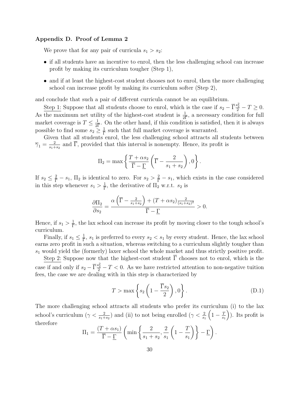#### **Appendix D. Proof of Lemma 2**

We prove that for any pair of curricula  $s_1 > s_2$ :

- if all students have an incentive to enrol, then the less challenging school can increase profit by making its curriculum tougher (Step 1),
- and if at least the highest-cost student chooses not to enrol, then the more challenging school can increase profit by making its curriculum softer (Step 2),

and conclude that such a pair of different curricula cannot be an equilibrium.

Step 1: Suppose that all students choose to enrol, which is the case if  $s_2 - \overline{\Gamma} \frac{s_2^2}{2} - T \ge 0$ . As the maximum net utility of the highest-cost student is  $\frac{1}{2\bar{\Gamma}}$ , a necessary condition for full market coverage is  $T \leq \frac{1}{2\overline{1}}$  $\frac{1}{2\overline{P}}$ . On the other hand, if this condition is satisfied, then it is always possible to find some  $s_2 \geq \frac{1}{\Gamma}$  $\frac{1}{\Gamma}$  such that full market coverage is warranted.

Given that all students enrol, the less challenging school attracts all students between  $\overline{\gamma}_1 = \frac{2}{s_1 +}$  $\frac{2}{s_1+s_2}$  and Γ, provided that this interval is nonempty. Hence, its profit is

$$
\Pi_2 = \max \left\{ \frac{T + \alpha s_2}{\overline{\Gamma} - \underline{\Gamma}} \left( \overline{\Gamma} - \frac{2}{s_1 + s_2} \right), 0 \right\}.
$$

If  $s_2 \leq \frac{2}{\Gamma}$  $\frac{2}{\overline{\Gamma}} - s_1$ ,  $\Pi_2$  is identical to zero. For  $s_2 > \frac{2}{\overline{\Gamma}}$  $\frac{2}{\overline{\Gamma}} - s_1$ , which exists in the case considered in this step whenever  $s_1 > \frac{1}{\overline{1}}$  $\frac{1}{\Gamma}$ , the derivative of  $\Pi_2$  w.r.t.  $s_2$  is

$$
\frac{\partial \Pi_2}{\partial s_2} = \frac{\alpha \left( \overline{\Gamma} - \frac{2}{s_1 + s_2} \right) + \left( T + \alpha s_2 \right) \frac{2}{(s_1 + s_2)^2}}{\overline{\Gamma} - \underline{\Gamma}} > 0.
$$

Hence, if  $s_1 > \frac{1}{\overline{1}}$  $\frac{1}{\Gamma}$ , the lax school can increase its profit by moving closer to the tough school's curriculum.

Finally, if  $s_1 \leq \frac{1}{\Gamma}$  $\frac{1}{\Gamma}$ ,  $s_1$  is preferred to every  $s_2 < s_1$  by every student. Hence, the lax school earns zero profit in such a situation, whereas switching to a curriculum slightly tougher than *s*<sup>1</sup> would yield the (formerly) laxer school the whole market and thus strictly positive profit.

Step 2: Suppose now that the highest-cost student  $\overline{\Gamma}$  chooses not to enrol, which is the case if and only if  $s_2 - \overline{\Gamma} \frac{s_2^2}{2} - T < 0$ . As we have restricted attention to non-negative tuition fees, the case we are dealing with in this step is characterized by

$$
T > \max\left\{s_2\left(1 - \frac{\overline{\Gamma}s_2}{2}\right), 0\right\}.
$$
 (D.1)

The more challenging school attracts all students who prefer its curriculum (i) to the lax school's curriculum ( $\gamma < \frac{2}{s_1+s_2}$ ) and (ii) to not being enrolled ( $\gamma < \frac{2}{s_1}$  $\left(1-\frac{T}{s}\right)$ *s*1 ) ). Its profit is therefore

$$
\Pi_1 = \frac{(T + \alpha s_1)}{\overline{\Gamma} - \underline{\Gamma}} \left( \min \left\{ \frac{2}{s_1 + s_2}, \frac{2}{s_1} \left( 1 - \frac{T}{s_1} \right) \right\} - \underline{\Gamma} \right).
$$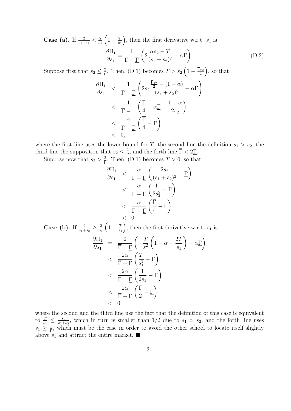**Case (a).** If  $\frac{2}{s_1+s_2} < \frac{2}{s_1}$ *s*1  $\left(1-\frac{T}{s_1}\right)$ *s*1 ), then the first derivative w.r.t.  $s_1$  is

$$
\frac{\partial \Pi_1}{\partial s_1} = \frac{1}{\overline{\Gamma} - \underline{\Gamma}} \left( 2 \frac{\alpha s_2 - T}{(s_1 + s_2)^2} - \alpha \underline{\Gamma} \right). \tag{D.2}
$$

Suppose first that  $s_2 \leq \frac{2}{\overline{\Gamma}}$  $\frac{2}{\Gamma}$ . Then, (D.1) becomes  $T > s_2 \left(1 - \frac{\overline{\Gamma}s_2}{2}\right)$  $\left(\frac{s_2}{2}\right)$ , so that

$$
\frac{\partial \Pi_1}{\partial s_1} < \frac{1}{\overline{\Gamma} - \Gamma} \left( 2s_2 \frac{\frac{\overline{\Gamma} s_2}{2} - (1 - \alpha)}{(s_1 + s_2)^2} - \alpha \Gamma \right) \\
&< \frac{1}{\overline{\Gamma} - \Gamma} \left( \frac{\overline{\Gamma}}{4} - \alpha \Gamma - \frac{1 - \alpha}{2s_2} \right) \\
&< \frac{\alpha}{\overline{\Gamma} - \Gamma} \left( \frac{\overline{\Gamma}}{4} - \Gamma \right) \\
&< 0,
$$

where the first line uses the lower bound for *T*, the second line the definition  $s_1 > s_2$ , the third line the supposition that  $s_2 \leq \frac{2}{\overline{\Gamma}}$  $\frac{2}{\overline{\Gamma}}$ , and the forth line  $\Gamma < 2\underline{\Gamma}$ .

Suppose now that  $s_2 > \frac{2}{\overline{R}}$  $\frac{2}{\Gamma}$ . Then, (D.1) becomes  $T > 0$ , so that

$$
\frac{\partial \Pi_1}{\partial s_1} < \frac{\alpha}{\overline{\Gamma} - \underline{\Gamma}} \left( \frac{2s_2}{(s_1 + s_2)^2} - \underline{\Gamma} \right) \\
&< \frac{\alpha}{\overline{\Gamma} - \underline{\Gamma}} \left( \frac{1}{2s_2^2} - \underline{\Gamma} \right) \\
&< \frac{\alpha}{\overline{\Gamma} - \underline{\Gamma}} \left( \frac{\overline{\Gamma}}{4} - \underline{\Gamma} \right) \\
&< 0.
$$

**Case (b).** If  $\frac{2}{s_1+s_2} \geq \frac{2}{s_1}$ *s*1  $\left(1-\frac{T}{s_1}\right)$ *s*1 ), then the first derivative w.r.t.  $s_1$  is

$$
\frac{\partial \Pi_1}{\partial s_1} = \frac{2}{\overline{\Gamma} - \underline{\Gamma}} \left( -\frac{T}{s_1^2} \left( 1 - \alpha - \frac{2T}{s_1} \right) - \alpha \underline{\Gamma} \right)
$$
  

$$
< \frac{2\alpha}{\overline{\Gamma} - \underline{\Gamma}} \left( \frac{T}{s_1^2} - \underline{\Gamma} \right)
$$
  

$$
< \frac{2\alpha}{\overline{\Gamma} - \underline{\Gamma}} \left( \frac{1}{2s_1} - \underline{\Gamma} \right)
$$
  

$$
< \frac{2\alpha}{\overline{\Gamma} - \underline{\Gamma}} \left( \frac{\overline{\Gamma}}{2} - \underline{\Gamma} \right)
$$
  

$$
< 0,
$$

where the second and the third line use the fact that the definition of this case is equivalent to  $\frac{T}{s_1} \leq \frac{s_2}{s_1+1}$  $\frac{s_2}{s_1+s_2}$ , which in turn is smaller than 1/2 due to  $s_1 > s_2$ , and the forth line uses  $s_1 \geq \frac{1}{\Gamma}$  $\frac{1}{\Gamma}$ , which must be the case in order to avoid the other school to locate itself slightly above  $s_1$  and attract the entire market.  $\blacksquare$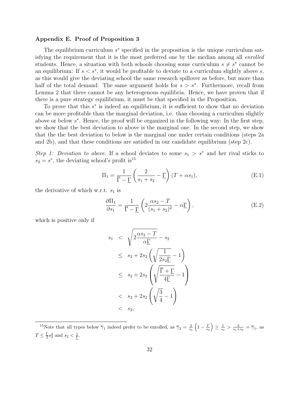#### **Appendix E. Proof of Proposition 3**

The equilibrium curriculum  $s^*$  specified in the proposition is the unique curriculum satisfying the requirement that it is the most preferred one by the median among all *enrolled* students. Hence, a situation with both schools choosing some curriculum  $s \neq s^*$  cannot be an equilibrium: If *s < s<sup>∗</sup>* , it would be profitable to deviate to a curriculum slightly above *s*, as this would give the deviating school the same research spillover as before, but more than half of the total demand. The same argument holds for  $s > s^*$ . Furthermore, recall from Lemma 2 that there cannot be any heterogenous equilibria. Hence, we have proven that if there is a pure strategy equilibrium, it must be that specified in the Proposition.

To prove that this  $s^*$  is indeed an equilibrium, it is sufficient to show that no deviation can be more profitable than the marginal deviation, i.e. than choosing a curriculum slightly above or below *s ∗* . Hence, the proof will be organized in the following way: In the first step, we show that the best deviation to above is the marginal one. In the second step, we show that the the best deviation to below is the marginal one under certain conditions (steps 2a and 2b), and that these conditions are satisfied in our candidate equilibrium (step 2c).

*Step 1: Deviation to above.* If a school deviates to some  $s_1 > s^*$  and her rival sticks to  $s_2 = s^*$ , the deviating school's profit is<sup>15</sup>

$$
\Pi_1 = \frac{1}{\overline{\Gamma} - \underline{\Gamma}} \left( \frac{2}{s_1 + s_2} - \underline{\Gamma} \right) (T + \alpha s_1), \tag{E.1}
$$

the derivative of which w.r.t. *s*<sup>1</sup> is

$$
\frac{\partial \Pi_1}{\partial s_1} = \frac{1}{\overline{\Gamma} - \underline{\Gamma}} \left( 2 \frac{\alpha s_2 - T}{(s_1 + s_2)^2} - \alpha \underline{\Gamma} \right),\tag{E.2}
$$

which is positive only if

$$
s_1 < \sqrt{2\frac{\alpha s_2 - T}{\alpha \Gamma}} - s_2
$$
  
\n
$$
\leq s_2 + 2s_2 \left(\sqrt{\frac{1}{2s_2 \Gamma}} - 1\right)
$$
  
\n
$$
\leq s_2 + 2s_2 \left(\sqrt{\frac{\overline{\Gamma} + \Gamma}{4\Gamma}} - 1\right)
$$
  
\n
$$
\leq s_2 + 2s_2 \left(\sqrt{\frac{3}{4}} - 1\right)
$$
  
\n
$$
\leq s_2,
$$

<sup>&</sup>lt;sup>15</sup>Note that all types below  $\overline{\gamma}_1$  indeed prefer to be enrolled, as  $\overline{\gamma}_2 = \frac{2}{s_2} \left(1 - \frac{T}{s_2}\right) \ge \frac{1}{s_2} > \frac{2}{s_1 + s_2} = \overline{\gamma}_1$ , as  $T \leq \frac{\Gamma}{2}$  $\frac{\Gamma}{2} s_2^2$  and  $s_2 < \frac{1}{\Gamma}$ .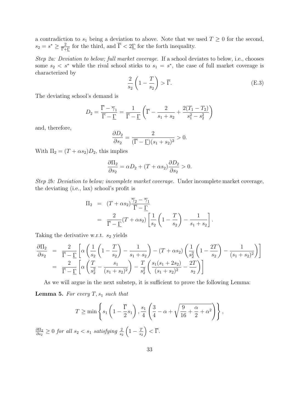a contradiction to  $s_1$  being a deviation to above. Note that we used  $T \geq 0$  for the second,  $s_2 = s^* \geq \frac{2}{\bar{\Gamma} + \Gamma}$  for the third, and  $\bar{\Gamma} < 2\bar{\Gamma}$  for the forth inequality.

*Step 2a: Deviation to below; full market coverage.* If a school deviates to below, i.e., chooses some  $s_2 < s^*$  while the rival school sticks to  $s_1 = s^*$ , the case of full market coverage is characterized by

$$
\frac{2}{s_2} \left( 1 - \frac{T}{s_2} \right) > \overline{\Gamma}.
$$
 (E.3)

The deviating school's demand is

$$
D_2 = \frac{\overline{\Gamma} - \overline{\gamma}_1}{\overline{\Gamma} - \underline{\Gamma}} = \frac{1}{\overline{\Gamma} - \underline{\Gamma}} \left( \overline{\Gamma} - \frac{2}{s_1 + s_2} + \frac{2(T_1 - T_2)}{s_1^2 - s_2^2} \right)
$$

and, therefore,

$$
\frac{\partial D_2}{\partial s_2} = \frac{2}{(\overline{\Gamma} - \underline{\Gamma})(s_1 + s_2)^2} > 0.
$$

With  $\Pi_2 = (T + \alpha s_2)D_2$ , this implies

$$
\frac{\partial \Pi_2}{\partial s_2} = \alpha D_2 + (T + \alpha s_2) \frac{\partial D_2}{\partial s_2} > 0.
$$

*Step 2b: Deviation to below; incomplete market coverage.* Under incomplete market coverage, the deviating (i.e., lax) school's profit is

$$
\Pi_2 = (T + \alpha s_2) \frac{\overline{\gamma}_2 - \overline{\gamma}_1}{\overline{\Gamma} - \underline{\Gamma}} \n= \frac{2}{\overline{\Gamma} - \underline{\Gamma}} (T + \alpha s_2) \left[ \frac{1}{s_2} \left( 1 - \frac{T}{s_2} \right) - \frac{1}{s_1 + s_2} \right].
$$

Taking the derivative w.r.t. *s*<sup>2</sup> yields

$$
\frac{\partial \Pi_2}{\partial s_2} = \frac{2}{\overline{\Gamma} - \underline{\Gamma}} \left[ \alpha \left( \frac{1}{s_2} \left( 1 - \frac{T}{s_2} \right) - \frac{1}{s_1 + s_2} \right) - (T + \alpha s_2) \left( \frac{1}{s_2^2} \left( 1 - \frac{2T}{s_2} \right) - \frac{1}{(s_1 + s_2)^2} \right) \right]
$$
  
\n
$$
= \frac{2}{\overline{\Gamma} - \underline{\Gamma}} \left[ \alpha \left( \frac{T}{s_2^2} - \frac{s_1}{(s_1 + s_2)^2} \right) - \frac{T}{s_2^2} \left( \frac{s_1 (s_1 + 2s_2)}{(s_1 + s_2)^2} - \frac{2T}{s_2} \right) \right]
$$

As we will argue in the next substep, it is sufficient to prove the following Lemma:

**Lemma 5.** For every  $T$ ,  $s_1$  *such that* 

$$
T \ge \min\left\{s_1\left(1 - \frac{\overline{\Gamma}}{2}s_1\right), \frac{s_1}{4}\left(\frac{3}{4} - \alpha + \sqrt{\frac{9}{16} + \frac{\alpha}{2} + \alpha^2}\right)\right\},\right\}
$$

*∂*Π<sup>2</sup>  $\frac{\partial \Pi_2}{\partial s_2}$  ≥ 0 *for all s*<sub>2</sub> < s<sub>1</sub> *satisfying*  $\frac{2}{s_2}$  $\left(1-\frac{T}{s_2}\right)$ *s*2  $\Big) < \overline{\Gamma}.$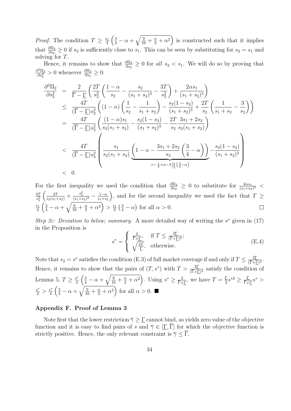*Proof.* The condition  $T \geq \frac{s_1}{4}$  $\frac{s_1}{4} \left( \frac{3}{4} - \alpha + \sqrt{\frac{9}{16} + \frac{\alpha}{2} + \alpha^2} \right)$  is constructed such that it implies that  $\frac{\partial \Pi_2}{\partial s_2} \geq 0$  if  $s_2$  is sufficiently close to  $s_1$ . This can be seen by substituting for  $s_2 = s_1$  and solving for *T*.

Hence, it remains to show that  $\frac{\partial \Pi_2}{\partial s_2} \geq 0$  for *all*  $s_2 < s_1$ . We will do so by proving that  $\partial^2\Pi_2$  $\frac{\partial^2 \Pi_2}{\partial s_2^2} > 0$  whenever  $\frac{\partial \Pi_2}{\partial s_2} \geq 0$ :

$$
\frac{\partial^2 \Pi_2}{\partial s_2^2} = \frac{2}{\overline{\Gamma} - \underline{\Gamma}} \left( \frac{2T}{s_2^2} \left( \frac{1 - \alpha}{s_2} - \frac{s_2}{(s_1 + s_2)^3} - \frac{3T}{s_2^2} \right) + \frac{2\alpha s_1}{(s_1 + s_2)^3} \right)
$$
\n
$$
\leq \frac{4T}{(\overline{\Gamma} - \underline{\Gamma})s_2^2} \left( (1 - \alpha) \left( \frac{1}{s_2} - \frac{1}{s_1 + s_2} \right) - \frac{s_2(1 - s_2)}{(s_1 + s_2)^3} + \frac{2T}{s_2} \left( \frac{1}{s_1 + s_2} - \frac{3}{s_2} \right) \right)
$$
\n
$$
= \frac{4T}{(\overline{\Gamma} - \underline{\Gamma})s_2^2} \left( \frac{(1 - \alpha)s_1}{s_2(s_1 + s_2)} - \frac{s_2(1 - s_2)}{(s_1 + s_2)^3} - \frac{2T}{s_2} \frac{3s_1 + 2s_2}{s_2(s_1 + s_2)} \right)
$$
\n
$$
< \frac{4T}{(\overline{\Gamma} - \underline{\Gamma})s_2^2} \left( \frac{s_1}{s_2(s_1 + s_2)} \underbrace{\left( 1 - \alpha - \frac{3s_1 + 2s_2}{s_2} \left( \frac{3}{4} - \alpha \right) \right) - \frac{s_2(1 - s_2)}{(s_1 + s_2)^3}}_{= -\frac{1}{2} + \alpha - 3\frac{s_1}{s_2} \left( \frac{3}{4} - \alpha \right)}
$$
\n
$$
< 0.
$$

For the first inequality we used the condition that  $\frac{\partial \Pi_2}{\partial s_2} \geq 0$  to substitute for  $\frac{2\alpha s_1}{(s_1+s_2)^3}$ 2*T*  $s_2^2$  $\left(\frac{2T}{s_2(s_1+s_2)}+\frac{s_2^2}{(s_1+s_2)^3}-\frac{1-\alpha}{s_1+s_2}\right)$ ), and for the second inequality we used the fact that  $T \geq$ *s*1  $\frac{s_1}{4} \left( \frac{3}{4} - \alpha + \sqrt{\frac{9}{16} + \frac{\alpha}{2} + \alpha^2} \right) > \frac{s_1}{2}$  $\frac{s_1}{2} \left( \frac{3}{4} - \alpha \right)$  for all  $\alpha > 0$ .

*Step 2c: Deviation to below; summary.* A more detailed way of writing the *s <sup>∗</sup>* given in (17) in the Proposition is

$$
s^* = \begin{cases} \frac{2}{\overline{\Gamma} + \underline{\Gamma}}, & \text{if } T \le \frac{2\overline{\Gamma}}{(\overline{\Gamma} + \underline{\Gamma})^2};\\ \sqrt{\frac{2T}{\overline{\Gamma}}}, & \text{otherwise.} \end{cases}
$$
(E.4)

Note that  $s_2 = s^*$  satisfies the condition (E.3) of full market coverage if and only if  $T \leq \frac{2\Gamma}{(\Gamma + 1)}$  $\frac{2\Gamma}{(\overline{\Gamma}+\underline{\Gamma})^2}$ . Hence, it remains to show that the pairs of  $(T, s^*)$  with  $T > \frac{2\Gamma}{(\overline{\Gamma} + \Gamma)^2}$  satisfy the condition of Lemma 5,  $T \geq \frac{s^*}{4}$  $\frac{3^*}{4}\left(\frac{3}{4}-\alpha+\sqrt{\frac{9}{16}+\frac{\alpha}{2}+\alpha^2}\right)$ . Using  $s^* \geq \frac{2}{\Gamma+\Gamma}$ , we have  $T=\frac{\Gamma}{2}$  $\frac{\Gamma}{2}s^{*2} \geq \frac{\Gamma}{\overline{\Gamma} + \Gamma} s^* >$  $\frac{s^*}{2}$  >  $\frac{s^*}{4}$  $\frac{3^*}{4} \left( \frac{3}{4} - \alpha + \sqrt{\frac{9}{16} + \frac{\alpha}{2} + \alpha^2} \right)$  for all  $\alpha > 0$ . ■

#### **Appendix F. Proof of Lemma 3**

Note first that the lower restriction  $\overline{\gamma} \geq \Gamma$  cannot bind, as yields zero value of the objective function and it is easy to find pairs of *s* and  $\overline{\gamma} \in [\Gamma, \overline{\Gamma}]$  for which the objective function is strictly positive. Hence, the only relevant constraint is  $\overline{\gamma} < \overline{\Gamma}$ .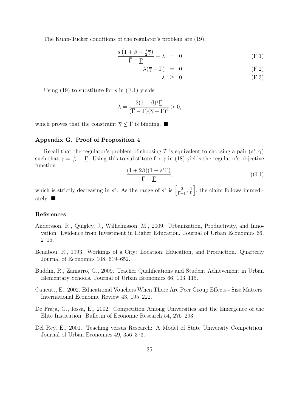The Kuhn-Tucker conditions of the regulator's problem are (19),

$$
\frac{s\left(1+\beta-\frac{s}{2}\overline{\gamma}\right)}{\overline{\Gamma}-\underline{\Gamma}}-\lambda = 0 \tag{F.1}
$$

$$
\lambda(\overline{\gamma} - \overline{\Gamma}) = 0 \tag{F.2}
$$

$$
\lambda \geq 0 \tag{F.3}
$$

Using (19) to substitute for *s* in (F.1) yields

$$
\lambda = \frac{2(1+\beta)^2 \Gamma}{(\overline{\Gamma} - \Gamma)(\overline{\gamma} + \Gamma)^2} > 0,
$$

which proves that the constraint  $\overline{\gamma} \leq \overline{\Gamma}$  is binding.

## **Appendix G. Proof of Proposition 4**

Recall that the regulator's problem of choosing *T* is equivalent to choosing a pair  $(s^*, \overline{\gamma})$ such that  $\overline{\gamma} = \frac{2}{s^*}$  $\frac{2}{s^*} - \Gamma$ . Using this to substitute for  $\overline{\gamma}$  in (18) yields the regulator's objective function

$$
\frac{(1+2\beta)(1-s^*\underline{\Gamma})}{\overline{\Gamma}-\underline{\Gamma}},\tag{G.1}
$$

which is strictly decreasing in  $s^*$ . As the range of  $s^*$  is  $\left[\frac{2}{\bar{\Gamma}+\Gamma},\frac{1}{\bar{\Gamma}}\right]$  $\frac{1}{\Gamma}$ , the claim follows immediately.

#### **References**

- Andersson, R., Quigley, J., Wilhelmsson, M., 2009. Urbanization, Productivity, and Innovation: Evidence from Investment in Higher Education. Journal of Urban Economics 66, 2–15.
- Benabou, R., 1993. Workings of a City: Location, Education, and Production. Quarterly Journal of Economics 108, 619–652.
- Buddin, R., Zamarro, G., 2009. Teacher Qualifications and Student Achievement in Urban Elementary Schools. Journal of Urban Economics 66, 103–115.
- Caucutt, E., 2002. Educational Vouchers When There Are Peer Group Effects Size Matters. International Economic Review 43, 195–222.
- De Fraja, G., Iossa, E., 2002. Competition Among Universities and the Emergence of the Elite Institution. Bulletin of Economic Research 54, 275–293.
- Del Rey, E., 2001. Teaching versus Research: A Model of State University Competition. Journal of Urban Economics 49, 356–373.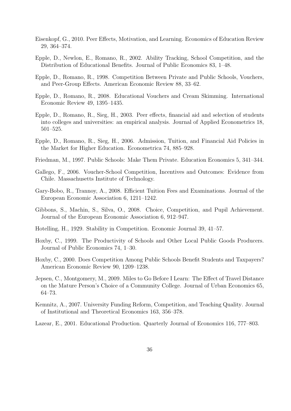- Eisenkopf, G., 2010. Peer Effects, Motivation, and Learning. Economics of Education Review 29, 364–374.
- Epple, D., Newlon, E., Romano, R., 2002. Ability Tracking, School Competition, and the Distribution of Educational Benefits. Journal of Public Economics 83, 1–48.
- Epple, D., Romano, R., 1998. Competition Between Private and Public Schools, Vouchers, and Peer-Group Effects. American Economic Review 88, 33–62.
- Epple, D., Romano, R., 2008. Educational Vouchers and Cream Skimming. International Economic Review 49, 1395–1435.
- Epple, D., Romano, R., Sieg, H., 2003. Peer effects, financial aid and selection of students into colleges and universities: an empirical analysis. Journal of Applied Econometrics 18, 501–525.
- Epple, D., Romano, R., Sieg, H., 2006. Admission, Tuition, and Financial Aid Policies in the Market for Higher Education. Econometrica 74, 885–928.
- Friedman, M., 1997. Public Schools: Make Them Private. Education Economics 5, 341–344.
- Gallego, F., 2006. Voucher-School Competition, Incentives and Outcomes: Evidence from Chile. Massachusetts Institute of Technology.
- Gary-Bobo, R., Trannoy, A., 2008. Efficient Tuition Fees and Examinations. Journal of the European Economic Association 6, 1211–1242.
- Gibbons, S., Machin, S., Silva, O., 2008. Choice, Competition, and Pupil Achievement. Journal of the European Economic Association 6, 912–947.
- Hotelling, H., 1929. Stability in Competition. Economic Journal 39, 41–57.
- Hoxby, C., 1999. The Productivity of Schools and Other Local Public Goods Producers. Journal of Public Economics 74, 1–30.
- Hoxby, C., 2000. Does Competition Among Public Schools Benefit Students and Taxpayers? American Economic Review 90, 1209–1238.
- Jepsen, C., Montgomery, M., 2009. Miles to Go Before I Learn: The Effect of Travel Distance on the Mature Person's Choice of a Community College. Journal of Urban Economics 65, 64–73.
- Kemnitz, A., 2007. University Funding Reform, Competition, and Teaching Quality. Journal of Institutional and Theoretical Economics 163, 356–378.
- Lazear, E., 2001. Educational Production. Quarterly Journal of Economics 116, 777–803.